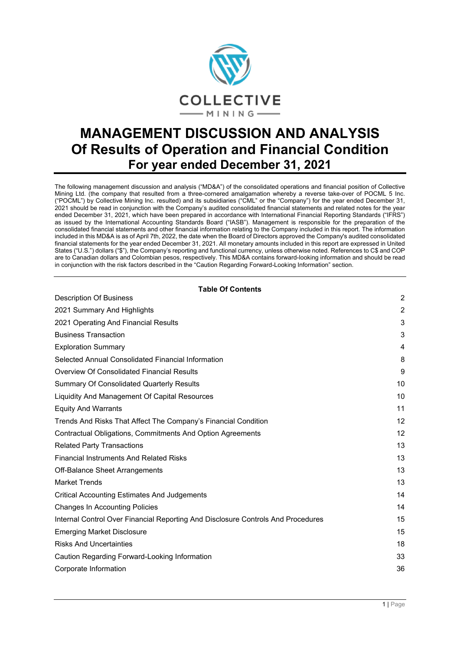

# **MANAGEMENT DISCUSSION AND ANALYSIS Of Results of Operation and Financial Condition For year ended December 31, 2021**

The following management discussion and analysis ("MD&A") of the consolidated operations and financial position of Collective Mining Ltd. (the company that resulted from a three-cornered amalgamation whereby a reverse take-over of POCML 5 Inc. ("POCML") by Collective Mining Inc. resulted) and its subsidiaries ("CML" or the "Company") for the year ended December 31, 2021 should be read in conjunction with the Company's audited consolidated financial statements and related notes for the year ended December 31, 2021, which have been prepared in accordance with International Financial Reporting Standards ("IFRS") as issued by the International Accounting Standards Board ("IASB"). Management is responsible for the preparation of the consolidated financial statements and other financial information relating to the Company included in this report. The information included in this MD&A is as of April 7th, 2022, the date when the Board of Directors approved the Company's audited consolidated financial statements for the year ended December 31, 2021. All monetary amounts included in this report are expressed in United States ("U.S.") dollars ("\$"), the Company's reporting and functional currency, unless otherwise noted. References to C\$ and COP are to Canadian dollars and Colombian pesos, respectively. This MD&A contains forward-looking information and should be read in conjunction with the risk factors described in the "Caution Regarding Forward-Looking Information" section.

**Table Of Contents**

| Table Of Contents<br><b>Description Of Business</b>                              | $\overline{2}$ |
|----------------------------------------------------------------------------------|----------------|
| 2021 Summary And Highlights                                                      | 2              |
| 2021 Operating And Financial Results                                             | 3              |
| <b>Business Transaction</b>                                                      | 3              |
| <b>Exploration Summary</b>                                                       | 4              |
| Selected Annual Consolidated Financial Information                               | 8              |
| <b>Overview Of Consolidated Financial Results</b>                                | 9              |
| <b>Summary Of Consolidated Quarterly Results</b>                                 | 10             |
| Liquidity And Management Of Capital Resources                                    | 10             |
| <b>Equity And Warrants</b>                                                       | 11             |
| Trends And Risks That Affect The Company's Financial Condition                   | 12             |
| Contractual Obligations, Commitments And Option Agreements                       | 12             |
| <b>Related Party Transactions</b>                                                | 13             |
| <b>Financial Instruments And Related Risks</b>                                   | 13             |
| Off-Balance Sheet Arrangements                                                   | 13             |
| <b>Market Trends</b>                                                             | 13             |
| <b>Critical Accounting Estimates And Judgements</b>                              | 14             |
| <b>Changes In Accounting Policies</b>                                            | 14             |
| Internal Control Over Financial Reporting And Disclosure Controls And Procedures | 15             |
| <b>Emerging Market Disclosure</b>                                                | 15             |
| <b>Risks And Uncertainties</b>                                                   | 18             |
| Caution Regarding Forward-Looking Information                                    | 33             |
| Corporate Information                                                            | 36             |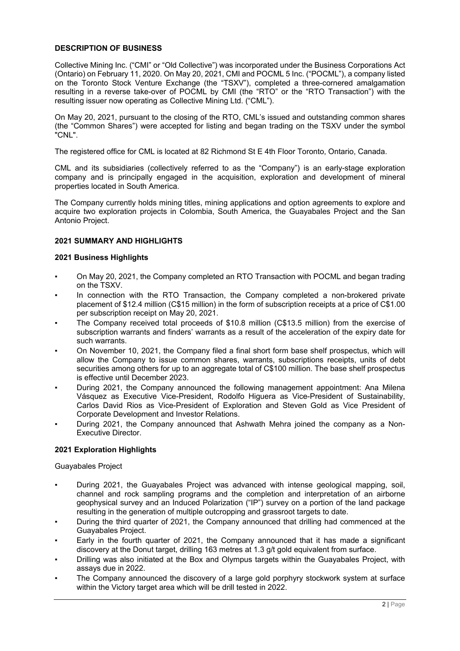# <span id="page-1-0"></span>**DESCRIPTION OF BUSINESS**

Collective Mining Inc. ("CMI" or "Old Collective") was incorporated under the Business Corporations Act (Ontario) on February 11, 2020. On May 20, 2021, CMI and POCML 5 Inc. ("POCML"), a company listed on the Toronto Stock Venture Exchange (the "TSXV"), completed a three-cornered amalgamation resulting in a reverse take-over of POCML by CMI (the "RTO" or the "RTO Transaction") with the resulting issuer now operating as Collective Mining Ltd. ("CML").

On May 20, 2021, pursuant to the closing of the RTO, CML's issued and outstanding common shares (the "Common Shares") were accepted for listing and began trading on the TSXV under the symbol "CNL".

The registered office for CML is located at 82 Richmond St E 4th Floor Toronto, Ontario, Canada.

CML and its subsidiaries (collectively referred to as the "Company") is an early-stage exploration company and is principally engaged in the acquisition, exploration and development of mineral properties located in South America.

The Company currently holds mining titles, mining applications and option agreements to explore and acquire two exploration projects in Colombia, South America, the Guayabales Project and the San Antonio Project.

# <span id="page-1-1"></span>**2021 SUMMARY AND HIGHLIGHTS**

### **2021 Business Highlights**

- On May 20, 2021, the Company completed an RTO Transaction with POCML and began trading on the TSXV.
- In connection with the RTO Transaction, the Company completed a non-brokered private placement of \$12.4 million (C\$15 million) in the form of subscription receipts at a price of C\$1.00 per subscription receipt on May 20, 2021.
- The Company received total proceeds of \$10.8 million (C\$13.5 million) from the exercise of subscription warrants and finders' warrants as a result of the acceleration of the expiry date for such warrants.
- On November 10, 2021, the Company filed a final short form base shelf prospectus, which will allow the Company to issue common shares, warrants, subscriptions receipts, units of debt securities among others for up to an aggregate total of C\$100 million. The base shelf prospectus is effective until December 2023.
- During 2021, the Company announced the following management appointment: Ana Milena Vásquez as Executive Vice-President, Rodolfo Higuera as Vice-President of Sustainability, Carlos David Rios as Vice-President of Exploration and Steven Gold as Vice President of Corporate Development and Investor Relations.
- During 2021, the Company announced that Ashwath Mehra joined the company as a Non-Executive Director.

# **2021 Exploration Highlights**

### Guayabales Project

- During 2021, the Guayabales Project was advanced with intense geological mapping, soil, channel and rock sampling programs and the completion and interpretation of an airborne geophysical survey and an Induced Polarization ("IP") survey on a portion of the land package resulting in the generation of multiple outcropping and grassroot targets to date.
- During the third quarter of 2021, the Company announced that drilling had commenced at the Guayabales Project.
- Early in the fourth quarter of 2021, the Company announced that it has made a significant discovery at the Donut target, drilling 163 metres at 1.3 g/t gold equivalent from surface.
- Drilling was also initiated at the Box and Olympus targets within the Guayabales Project, with assays due in 2022.
- The Company announced the discovery of a large gold porphyry stockwork system at surface within the Victory target area which will be drill tested in 2022.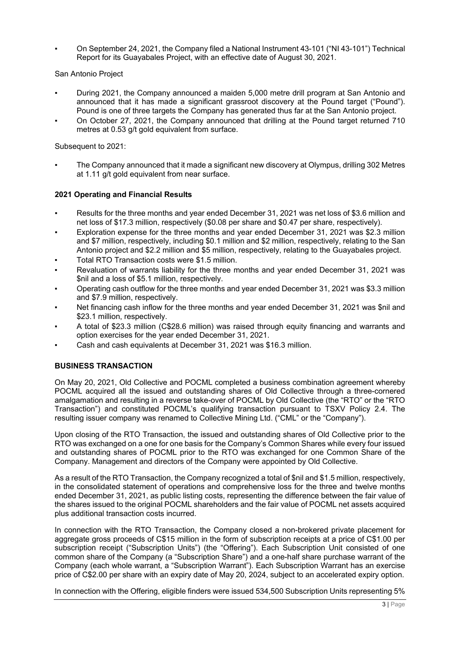On September 24, 2021, the Company filed a National Instrument 43-101 ("NI 43-101") Technical Report for its Guayabales Project, with an effective date of August 30, 2021.

# San Antonio Project

- During 2021, the Company announced a maiden 5,000 metre drill program at San Antonio and announced that it has made a significant grassroot discovery at the Pound target ("Pound"). Pound is one of three targets the Company has generated thus far at the San Antonio project.
- On October 27, 2021, the Company announced that drilling at the Pound target returned 710 metres at 0.53 g/t gold equivalent from surface.

# Subsequent to 2021:

The Company announced that it made a significant new discovery at Olympus, drilling 302 Metres at 1.11 g/t gold equivalent from near surface.

# <span id="page-2-0"></span>**2021 Operating and Financial Results**

- Results for the three months and year ended December 31, 2021 was net loss of \$3.6 million and net loss of \$17.3 million, respectively (\$0.08 per share and \$0.47 per share, respectively).
- Exploration expense for the three months and year ended December 31, 2021 was \$2.3 million and \$7 million, respectively, including \$0.1 million and \$2 million, respectively, relating to the San Antonio project and \$2.2 million and \$5 million, respectively, relating to the Guayabales project.
- Total RTO Transaction costs were \$1.5 million.
- Revaluation of warrants liability for the three months and year ended December 31, 2021 was \$nil and a loss of \$5.1 million, respectively.
- Operating cash outflow for the three months and year ended December 31, 2021 was \$3.3 million and \$7.9 million, respectively.
- Net financing cash inflow for the three months and year ended December 31, 2021 was \$nil and \$23.1 million, respectively.
- A total of \$23.3 million (C\$28.6 million) was raised through equity financing and warrants and option exercises for the year ended December 31, 2021.
- <span id="page-2-1"></span>Cash and cash equivalents at December 31, 2021 was \$16.3 million.

# **BUSINESS TRANSACTION**

On May 20, 2021, Old Collective and POCML completed a business combination agreement whereby POCML acquired all the issued and outstanding shares of Old Collective through a three-cornered amalgamation and resulting in a reverse take-over of POCML by Old Collective (the "RTO" or the "RTO Transaction") and constituted POCML's qualifying transaction pursuant to TSXV Policy 2.4. The resulting issuer company was renamed to Collective Mining Ltd. ("CML" or the "Company").

Upon closing of the RTO Transaction, the issued and outstanding shares of Old Collective prior to the RTO was exchanged on a one for one basis for the Company's Common Shares while every four issued and outstanding shares of POCML prior to the RTO was exchanged for one Common Share of the Company. Management and directors of the Company were appointed by Old Collective.

As a result of the RTO Transaction, the Company recognized a total of \$nil and \$1.5 million, respectively, in the consolidated statement of operations and comprehensive loss for the three and twelve months ended December 31, 2021, as public listing costs, representing the difference between the fair value of the shares issued to the original POCML shareholders and the fair value of POCML net assets acquired plus additional transaction costs incurred.

In connection with the RTO Transaction, the Company closed a non-brokered private placement for aggregate gross proceeds of C\$15 million in the form of subscription receipts at a price of C\$1.00 per subscription receipt ("Subscription Units") (the "Offering"). Each Subscription Unit consisted of one common share of the Company (a "Subscription Share") and a one-half share purchase warrant of the Company (each whole warrant, a "Subscription Warrant"). Each Subscription Warrant has an exercise price of C\$2.00 per share with an expiry date of May 20, 2024, subject to an accelerated expiry option.

In connection with the Offering, eligible finders were issued 534,500 Subscription Units representing 5%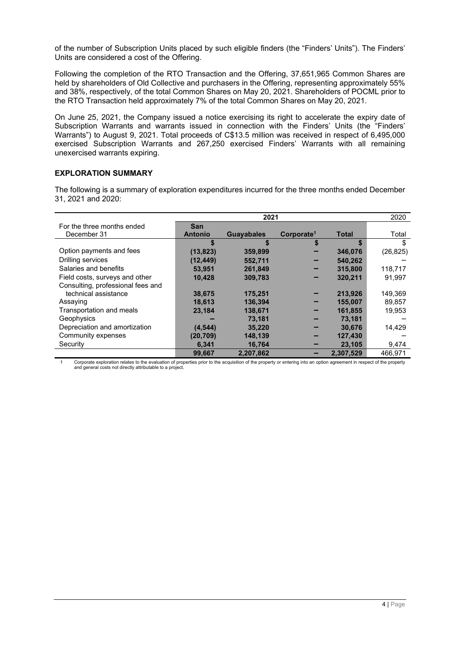of the number of Subscription Units placed by such eligible finders (the "Finders' Units"). The Finders' Units are considered a cost of the Offering.

Following the completion of the RTO Transaction and the Offering, 37,651,965 Common Shares are held by shareholders of Old Collective and purchasers in the Offering, representing approximately 55% and 38%, respectively, of the total Common Shares on May 20, 2021. Shareholders of POCML prior to the RTO Transaction held approximately 7% of the total Common Shares on May 20, 2021.

On June 25, 2021, the Company issued a notice exercising its right to accelerate the expiry date of Subscription Warrants and warrants issued in connection with the Finders' Units (the "Finders' Warrants") to August 9, 2021. Total proceeds of C\$13.5 million was received in respect of 6,495,000 exercised Subscription Warrants and 267,250 exercised Finders' Warrants with all remaining unexercised warrants expiring.

# <span id="page-3-0"></span>**EXPLORATION SUMMARY**

The following is a summary of exploration expenditures incurred for the three months ended December 31, 2021 and 2020:

|                                   |                | 2020              |                        |              |           |
|-----------------------------------|----------------|-------------------|------------------------|--------------|-----------|
| For the three months ended        | <b>San</b>     |                   |                        |              |           |
| December 31                       | <b>Antonio</b> | <b>Guayabales</b> | Corporate <sup>1</sup> | <b>Total</b> | Total     |
|                                   | S              | S                 |                        | S            | \$        |
| Option payments and fees          | (13, 823)      | 359,899           |                        | 346,076      | (26, 825) |
| Drilling services                 | (12, 449)      | 552,711           |                        | 540,262      |           |
| Salaries and benefits             | 53.951         | 261.849           |                        | 315,800      | 118.717   |
| Field costs, surveys and other    | 10,428         | 309,783           |                        | 320,211      | 91.997    |
| Consulting, professional fees and |                |                   |                        |              |           |
| technical assistance              | 38,675         | 175,251           |                        | 213,926      | 149,369   |
| Assaying                          | 18,613         | 136,394           |                        | 155,007      | 89.857    |
| Transportation and meals          | 23.184         | 138,671           |                        | 161,855      | 19,953    |
| Geophysics                        |                | 73,181            |                        | 73,181       |           |
| Depreciation and amortization     | (4, 544)       | 35,220            |                        | 30,676       | 14,429    |
| Community expenses                | (20, 709)      | 148,139           |                        | 127,430      |           |
| Security                          | 6,341          | 16,764            |                        | 23,105       | 9,474     |
|                                   | 99,667         | 2,207,862         |                        | 2.307.529    | 466.971   |

Corporate exploration relates to the evaluation of properties prior to the acquisition of the property or entering into an option agreement in respect of the property and general costs not directly attributable to a project.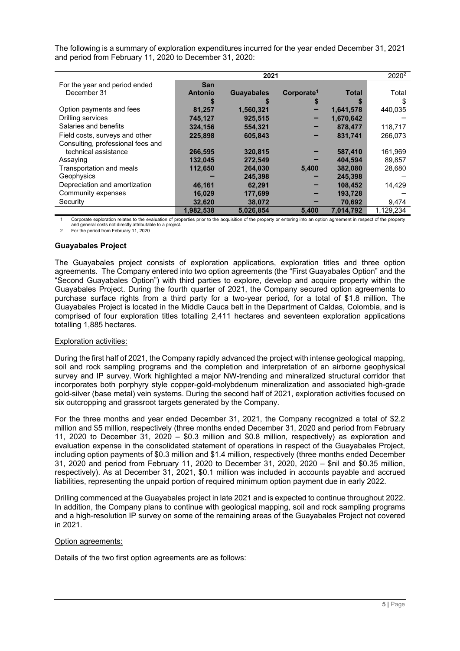|                                   |                | 2021              |                        |              | 2020 <sup>2</sup> |
|-----------------------------------|----------------|-------------------|------------------------|--------------|-------------------|
| For the year and period ended     | <b>San</b>     |                   |                        |              |                   |
| December 31                       | <b>Antonio</b> | <b>Guayabales</b> | Corporate <sup>1</sup> | <b>Total</b> | Total             |
|                                   |                |                   |                        | \$           | \$                |
| Option payments and fees          | 81,257         | 1,560,321         |                        | 1,641,578    | 440.035           |
| Drilling services                 | 745,127        | 925,515           |                        | 1,670,642    |                   |
| Salaries and benefits             | 324.156        | 554.321           |                        | 878.477      | 118,717           |
| Field costs, surveys and other    | 225.898        | 605.843           |                        | 831,741      | 266,073           |
| Consulting, professional fees and |                |                   |                        |              |                   |
| technical assistance              | 266,595        | 320,815           |                        | 587,410      | 161,969           |
| Assaying                          | 132,045        | 272,549           |                        | 404,594      | 89,857            |
| Transportation and meals          | 112,650        | 264,030           | 5,400                  | 382,080      | 28,680            |
| Geophysics                        |                | 245,398           |                        | 245,398      |                   |
| Depreciation and amortization     | 46,161         | 62,291            |                        | 108,452      | 14,429            |
| Community expenses                | 16,029         | 177,699           |                        | 193,728      |                   |
| Security                          | 32,620         | 38,072            |                        | 70,692       | 9,474             |
|                                   | 1,982,538      | 5,026,854         | 5,400                  | 7,014,792    | 1,129,234         |

The following is a summary of exploration expenditures incurred for the year ended December 31, 2021 and period from February 11, 2020 to December 31, 2020:

Corporate exploration relates to the evaluation of properties prior to the acquisition of the property or entering into an option agreement in respect of the property and general costs not directly attributable to a project.

2 For the period from February 11, 2020

# **Guayabales Project**

The Guayabales project consists of exploration applications, exploration titles and three option agreements. The Company entered into two option agreements (the "First Guayabales Option" and the "Second Guayabales Option") with third parties to explore, develop and acquire property within the Guayabales Project. During the fourth quarter of 2021, the Company secured option agreements to purchase surface rights from a third party for a two-year period, for a total of \$1.8 million. The Guayabales Project is located in the Middle Cauca belt in the Department of Caldas, Colombia, and is comprised of four exploration titles totalling 2,411 hectares and seventeen exploration applications totalling 1,885 hectares.

# Exploration activities:

During the first half of 2021, the Company rapidly advanced the project with intense geological mapping, soil and rock sampling programs and the completion and interpretation of an airborne geophysical survey and IP survey. Work highlighted a major NW-trending and mineralized structural corridor that incorporates both porphyry style copper-gold-molybdenum mineralization and associated high-grade gold-silver (base metal) vein systems. During the second half of 2021, exploration activities focused on six outcropping and grassroot targets generated by the Company.

For the three months and year ended December 31, 2021, the Company recognized a total of \$2.2 million and \$5 million, respectively (three months ended December 31, 2020 and period from February 11, 2020 to December 31, 2020 – \$0.3 million and \$0.8 million, respectively) as exploration and evaluation expense in the consolidated statement of operations in respect of the Guayabales Project, including option payments of \$0.3 million and \$1.4 million, respectively (three months ended December 31, 2020 and period from February 11, 2020 to December 31, 2020, 2020 – \$nil and \$0.35 million, respectively). As at December 31, 2021, \$0.1 million was included in accounts payable and accrued liabilities, representing the unpaid portion of required minimum option payment due in early 2022.

Drilling commenced at the Guayabales project in late 2021 and is expected to continue throughout 2022. In addition, the Company plans to continue with geological mapping, soil and rock sampling programs and a high-resolution IP survey on some of the remaining areas of the Guayabales Project not covered in 2021.

# Option agreements:

Details of the two first option agreements are as follows: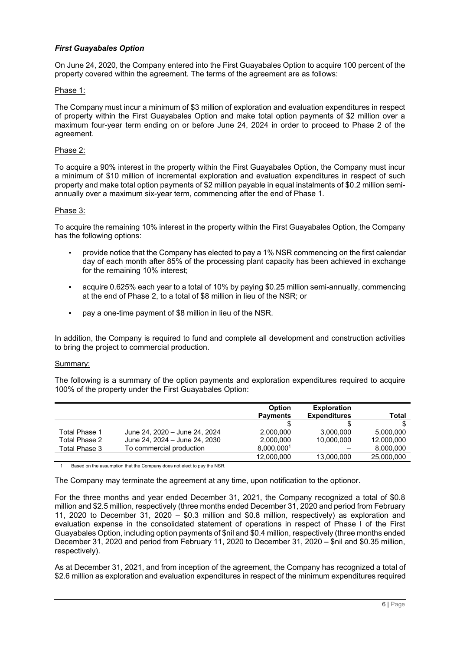# *First Guayabales Option*

On June 24, 2020, the Company entered into the First Guayabales Option to acquire 100 percent of the property covered within the agreement. The terms of the agreement are as follows:

### Phase 1:

The Company must incur a minimum of \$3 million of exploration and evaluation expenditures in respect of property within the First Guayabales Option and make total option payments of \$2 million over a maximum four-year term ending on or before June 24, 2024 in order to proceed to Phase 2 of the agreement.

### Phase 2:

To acquire a 90% interest in the property within the First Guayabales Option, the Company must incur a minimum of \$10 million of incremental exploration and evaluation expenditures in respect of such property and make total option payments of \$2 million payable in equal instalments of \$0.2 million semiannually over a maximum six-year term, commencing after the end of Phase 1.

#### Phase 3:

To acquire the remaining 10% interest in the property within the First Guayabales Option, the Company has the following options:

- provide notice that the Company has elected to pay a 1% NSR commencing on the first calendar day of each month after 85% of the processing plant capacity has been achieved in exchange for the remaining 10% interest;
- acquire 0.625% each year to a total of 10% by paying \$0.25 million semi-annually, commencing at the end of Phase 2, to a total of \$8 million in lieu of the NSR; or
- pay a one-time payment of \$8 million in lieu of the NSR.

In addition, the Company is required to fund and complete all development and construction activities to bring the project to commercial production.

### Summary:

The following is a summary of the option payments and exploration expenditures required to acquire 100% of the property under the First Guayabales Option:

|               |                               | <b>Option</b>   | <b>Exploration</b>  |            |
|---------------|-------------------------------|-----------------|---------------------|------------|
|               |                               | <b>Payments</b> | <b>Expenditures</b> | Total      |
|               |                               |                 |                     |            |
| Total Phase 1 | June 24, 2020 - June 24, 2024 | 2.000.000       | 3.000.000           | 5.000.000  |
| Total Phase 2 | June 24, 2024 - June 24, 2030 | 2.000.000       | 10.000.000          | 12,000,000 |
| Total Phase 3 | To commercial production      | 8.000.0001      |                     | 8.000.000  |
|               |                               | 12.000.000      | 13.000.000          | 25.000.000 |

1 Based on the assumption that the Company does not elect to pay the NSR.

The Company may terminate the agreement at any time, upon notification to the optionor.

For the three months and year ended December 31, 2021, the Company recognized a total of \$0.8 million and \$2.5 million, respectively (three months ended December 31, 2020 and period from February 11, 2020 to December 31, 2020 – \$0.3 million and \$0.8 million, respectively) as exploration and evaluation expense in the consolidated statement of operations in respect of Phase I of the First Guayabales Option, including option payments of \$nil and \$0.4 million, respectively (three months ended December 31, 2020 and period from February 11, 2020 to December 31, 2020 – \$nil and \$0.35 million, respectively).

As at December 31, 2021, and from inception of the agreement, the Company has recognized a total of \$2.6 million as exploration and evaluation expenditures in respect of the minimum expenditures required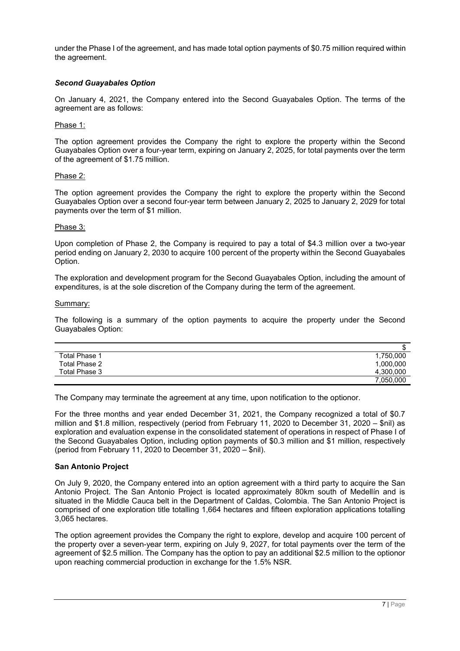under the Phase I of the agreement, and has made total option payments of \$0.75 million required within the agreement.

# *Second Guayabales Option*

On January 4, 2021, the Company entered into the Second Guayabales Option. The terms of the agreement are as follows:

# Phase 1:

The option agreement provides the Company the right to explore the property within the Second Guayabales Option over a four-year term, expiring on January 2, 2025, for total payments over the term of the agreement of \$1.75 million.

# Phase 2:

The option agreement provides the Company the right to explore the property within the Second Guayabales Option over a second four-year term between January 2, 2025 to January 2, 2029 for total payments over the term of \$1 million.

# Phase 3:

Upon completion of Phase 2, the Company is required to pay a total of \$4.3 million over a two-year period ending on January 2, 2030 to acquire 100 percent of the property within the Second Guayabales Option.

The exploration and development program for the Second Guayabales Option, including the amount of expenditures, is at the sole discretion of the Company during the term of the agreement.

### Summary:

The following is a summary of the option payments to acquire the property under the Second Guayabales Option:

|                      | Œ         |
|----------------------|-----------|
| <b>Total Phase 1</b> | 1,750,000 |
| Total Phase 2        | 1,000,000 |
| Total Phase 3        | 4,300,000 |
|                      | 7.050.000 |

The Company may terminate the agreement at any time, upon notification to the optionor.

For the three months and year ended December 31, 2021, the Company recognized a total of \$0.7 million and \$1.8 million, respectively (period from February 11, 2020 to December 31, 2020 – \$nil) as exploration and evaluation expense in the consolidated statement of operations in respect of Phase I of the Second Guayabales Option, including option payments of \$0.3 million and \$1 million, respectively (period from February 11, 2020 to December 31, 2020 – \$nil).

# **San Antonio Project**

On July 9, 2020, the Company entered into an option agreement with a third party to acquire the San Antonio Project. The San Antonio Project is located approximately 80km south of Medellín and is situated in the Middle Cauca belt in the Department of Caldas, Colombia. The San Antonio Project is comprised of one exploration title totalling 1,664 hectares and fifteen exploration applications totalling 3,065 hectares.

The option agreement provides the Company the right to explore, develop and acquire 100 percent of the property over a seven-year term, expiring on July 9, 2027, for total payments over the term of the agreement of \$2.5 million. The Company has the option to pay an additional \$2.5 million to the optionor upon reaching commercial production in exchange for the 1.5% NSR.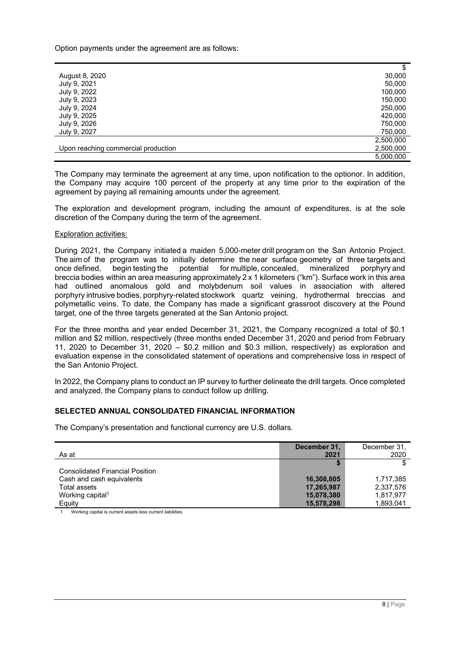Option payments under the agreement are as follows:

|                                     | \$        |
|-------------------------------------|-----------|
| August 8, 2020                      | 30,000    |
| July 9, 2021                        | 50,000    |
| July 9, 2022                        | 100,000   |
| July 9, 2023                        | 150,000   |
| July 9, 2024                        | 250,000   |
| July 9, 2025                        | 420,000   |
| July 9, 2026                        | 750,000   |
| July 9, 2027                        | 750,000   |
|                                     | 2,500,000 |
| Upon reaching commercial production | 2,500,000 |
|                                     | 5,000,000 |

The Company may terminate the agreement at any time, upon notification to the optionor. In addition, the Company may acquire 100 percent of the property at any time prior to the expiration of the agreement by paying all remaining amounts under the agreement.

The exploration and development program, including the amount of expenditures, is at the sole discretion of the Company during the term of the agreement.

### Exploration activities:

During 2021, the Company initiated a maiden 5,000-meter drill program on the San Antonio Project. The aim of the program was to initially determine the near surface geometry of three targets and once defined, begin testing the potential for multiple, concealed, mineralized porphyry and breccia bodies within an area measuring approximately 2 x 1 kilometers ("km"). Surface work in this area had outlined anomalous gold and molybdenum soil values in association with altered porphyry intrusive bodies, porphyry-related stockwork quartz veining, hydrothermal breccias and polymetallic veins. To date, the Company has made a significant grassroot discovery at the Pound target, one of the three targets generated at the San Antonio project.

For the three months and year ended December 31, 2021, the Company recognized a total of \$0.1 million and \$2 million, respectively (three months ended December 31, 2020 and period from February 11, 2020 to December 31, 2020 – \$0.2 million and \$0.3 million, respectively) as exploration and evaluation expense in the consolidated statement of operations and comprehensive loss in respect of the San Antonio Project.

In 2022, the Company plans to conduct an IP survey to further delineate the drill targets. Once completed and analyzed, the Company plans to conduct follow up drilling.

### <span id="page-7-0"></span>**SELECTED ANNUAL CONSOLIDATED FINANCIAL INFORMATION**

The Company's presentation and functional currency are U.S. dollars.

|                                        | December 31, | December 31, |
|----------------------------------------|--------------|--------------|
| As at                                  | 2021         | 2020         |
|                                        |              |              |
| <b>Consolidated Financial Position</b> |              |              |
| Cash and cash equivalents              | 16,308,805   | 1.717.385    |
| Total assets                           | 17,265,987   | 2,337,576    |
| Working capital <sup>1</sup>           | 15,078,380   | 1,817,977    |
| Equity                                 | 15,578,298   | 1,893,041    |

Working capital is current assets less current liabilities.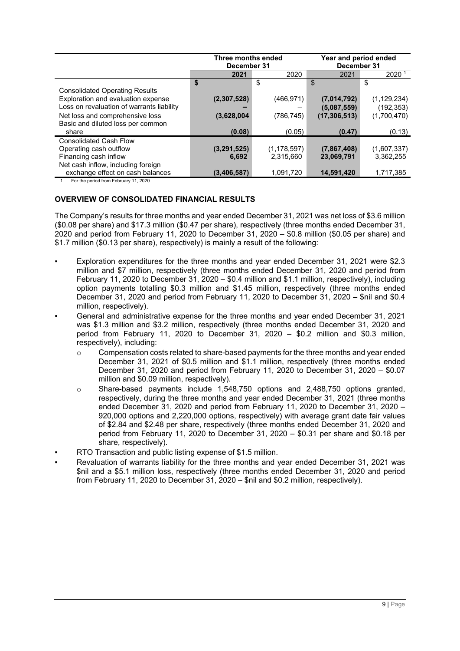|                                                                                                                          | Three months ended<br>December 31 |                            | Year and period ended<br>December 31 |                             |
|--------------------------------------------------------------------------------------------------------------------------|-----------------------------------|----------------------------|--------------------------------------|-----------------------------|
|                                                                                                                          | 2021                              | 2020                       | 2021                                 | 2020 <sup>1</sup>           |
|                                                                                                                          | \$                                | \$                         | \$                                   | \$                          |
| <b>Consolidated Operating Results</b><br>Exploration and evaluation expense<br>Loss on revaluation of warrants liability | (2,307,528)                       | (466, 971)                 | (7,014,792)<br>(5,087,559)           | (1, 129, 234)<br>(192, 353) |
| Net loss and comprehensive loss<br>Basic and diluted loss per common                                                     | (3,628,004)                       | (786,745)                  | (17, 306, 513)                       | (1,700,470)                 |
| share                                                                                                                    | (0.08)                            | (0.05)                     | (0.47)                               | (0.13)                      |
| <b>Consolidated Cash Flow</b><br>Operating cash outflow<br>Financing cash inflow<br>Net cash inflow, including foreign   | (3,291,525)<br>6,692              | (1, 178, 597)<br>2,315,660 | (7,867,408)<br>23,069,791            | (1,607,337)<br>3,362,255    |
| exchange effect on cash balances                                                                                         | (3, 406, 587)                     | 1,091,720                  | 14,591,420                           | 1,717,385                   |

<span id="page-8-0"></span>1 For the period from February 11, 2020

# **OVERVIEW OF CONSOLIDATED FINANCIAL RESULTS**

The Company's results for three months and year ended December 31, 2021 was net loss of \$3.6 million (\$0.08 per share) and \$17.3 million (\$0.47 per share), respectively (three months ended December 31, 2020 and period from February 11, 2020 to December 31, 2020 – \$0.8 million (\$0.05 per share) and \$1.7 million (\$0.13 per share), respectively) is mainly a result of the following:

- Exploration expenditures for the three months and year ended December 31, 2021 were \$2.3 million and \$7 million, respectively (three months ended December 31, 2020 and period from February 11, 2020 to December 31, 2020 – \$0.4 million and \$1.1 million, respectively), including option payments totalling \$0.3 million and \$1.45 million, respectively (three months ended December 31, 2020 and period from February 11, 2020 to December 31, 2020 – \$nil and \$0.4 million, respectively).
- General and administrative expense for the three months and year ended December 31, 2021 was \$1.3 million and \$3.2 million, respectively (three months ended December 31, 2020 and period from February 11, 2020 to December 31, 2020 – \$0.2 million and \$0.3 million, respectively), including:
	- $\circ$  Compensation costs related to share-based payments for the three months and year ended December 31, 2021 of \$0.5 million and \$1.1 million, respectively (three months ended December 31, 2020 and period from February 11, 2020 to December 31, 2020 – \$0.07 million and \$0.09 million, respectively).
	- o Share-based payments include 1,548,750 options and 2,488,750 options granted, respectively, during the three months and year ended December 31, 2021 (three months ended December 31, 2020 and period from February 11, 2020 to December 31, 2020 – 920,000 options and 2,220,000 options, respectively) with average grant date fair values of \$2.84 and \$2.48 per share, respectively (three months ended December 31, 2020 and period from February 11, 2020 to December 31, 2020 – \$0.31 per share and \$0.18 per share, respectively).
- RTO Transaction and public listing expense of \$1.5 million.
- Revaluation of warrants liability for the three months and year ended December 31, 2021 was \$nil and a \$5.1 million loss, respectively (three months ended December 31, 2020 and period from February 11, 2020 to December 31, 2020 – \$nil and \$0.2 million, respectively).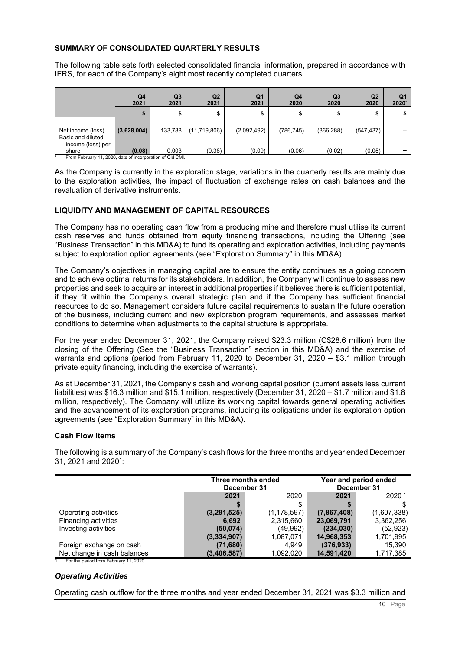# <span id="page-9-0"></span>**SUMMARY OF CONSOLIDATED QUARTERLY RESULTS**

The following table sets forth selected consolidated financial information, prepared in accordance with IFRS, for each of the Company's eight most recently completed quarters.

|                   | Q4<br>2021  | Q <sub>3</sub><br>2021 | Q2<br>2021   | Q <sub>1</sub><br>2021 | Q <sub>4</sub><br>2020 | Q <sub>3</sub><br>2020 | Q <sub>2</sub><br>2020 | Q1<br>2020 |
|-------------------|-------------|------------------------|--------------|------------------------|------------------------|------------------------|------------------------|------------|
|                   |             |                        |              |                        |                        |                        |                        |            |
|                   |             |                        |              |                        |                        |                        |                        |            |
| Net income (loss) | (3,628,004) | 133.788                | (11,719,806) | (2,092,492)            | (786, 745)             | (366, 288)             | (547, 437)             |            |
| Basic and diluted |             |                        |              |                        |                        |                        |                        |            |
| income (loss) per |             |                        |              |                        |                        |                        |                        |            |
| share             | (0.08)      | 0.003                  | (0.38)       | (0.09)                 | (0.06)                 | (0.02)                 | (0.05)                 |            |

From February 11, 2020, date of incorporation of Old CMI.

As the Company is currently in the exploration stage, variations in the quarterly results are mainly due to the exploration activities, the impact of fluctuation of exchange rates on cash balances and the revaluation of derivative instruments.

# <span id="page-9-1"></span>**LIQUIDITY AND MANAGEMENT OF CAPITAL RESOURCES**

The Company has no operating cash flow from a producing mine and therefore must utilise its current cash reserves and funds obtained from equity financing transactions, including the Offering (see "Business Transaction" in this MD&A) to fund its operating and exploration activities, including payments subject to exploration option agreements (see "Exploration Summary" in this MD&A).

The Company's objectives in managing capital are to ensure the entity continues as a going concern and to achieve optimal returns for its stakeholders. In addition, the Company will continue to assess new properties and seek to acquire an interest in additional properties if it believes there is sufficient potential, if they fit within the Company's overall strategic plan and if the Company has sufficient financial resources to do so. Management considers future capital requirements to sustain the future operation of the business, including current and new exploration program requirements, and assesses market conditions to determine when adjustments to the capital structure is appropriate.

For the year ended December 31, 2021, the Company raised \$23.3 million (C\$28.6 million) from the closing of the Offering (See the "Business Transaction" section in this MD&A) and the exercise of warrants and options (period from February 11, 2020 to December 31, 2020 – \$3.1 million through private equity financing, including the exercise of warrants).

As at December 31, 2021, the Company's cash and working capital position (current assets less current liabilities) was \$16.3 million and \$15.1 million, respectively (December 31, 2020 – \$1.7 million and \$1.8 million, respectively). The Company will utilize its working capital towards general operating activities and the advancement of its exploration programs, including its obligations under its exploration option agreements (see "Exploration Summary" in this MD&A).

# **Cash Flow Items**

The following is a summary of the Company's cash flows for the three months and year ended December 31, 2021 and 2020<sup>1</sup>:

|                             | December 31 | Three months ended |             | Year and period ended<br>December 31 |
|-----------------------------|-------------|--------------------|-------------|--------------------------------------|
|                             | 2021        | 2020               | 2021        | 2020 <sup>1</sup>                    |
|                             |             | Œ                  |             |                                      |
| Operating activities        | (3,291,525) | (1, 178, 597)      | (7,867,408) | (1,607,338)                          |
| Financing activities        | 6,692       | 2,315,660          | 23,069,791  | 3,362,256                            |
| Investing activities        | (50, 074)   | (49,992)           | (234, 030)  | (52, 923)                            |
|                             | (3,334,907) | 1,087,071          | 14,968,353  | 1,701,995                            |
| Foreign exchange on cash    | (71,680)    | 4,949              | (376, 933)  | 15,390                               |
| Net change in cash balances | (3,406,587) | 1,092,020          | 14,591,420  | 1,717,385                            |

1 For the period from February 11, 2020

# *Operating Activities*

Operating cash outflow for the three months and year ended December 31, 2021 was \$3.3 million and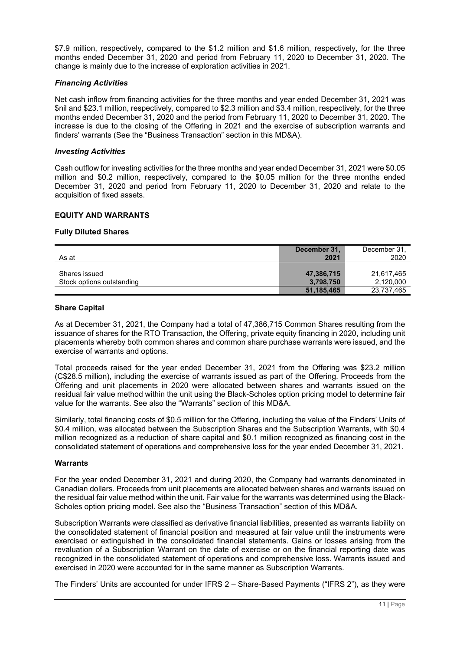\$7.9 million, respectively, compared to the \$1.2 million and \$1.6 million, respectively, for the three months ended December 31, 2020 and period from February 11, 2020 to December 31, 2020. The change is mainly due to the increase of exploration activities in 2021.

### *Financing Activities*

Net cash inflow from financing activities for the three months and year ended December 31, 2021 was \$nil and \$23.1 million, respectively, compared to \$2.3 million and \$3.4 million, respectively, for the three months ended December 31, 2020 and the period from February 11, 2020 to December 31, 2020. The increase is due to the closing of the Offering in 2021 and the exercise of subscription warrants and finders' warrants (See the "Business Transaction" section in this MD&A).

### *Investing Activities*

Cash outflow for investing activities for the three months and year ended December 31, 2021 were \$0.05 million and \$0.2 million, respectively, compared to the \$0.05 million for the three months ended December 31, 2020 and period from February 11, 2020 to December 31, 2020 and relate to the acquisition of fixed assets.

### <span id="page-10-0"></span>**EQUITY AND WARRANTS**

### **Fully Diluted Shares**

| As at                                      | December 31,<br>2021    | December 31<br>2020     |
|--------------------------------------------|-------------------------|-------------------------|
| Shares issued<br>Stock options outstanding | 47,386,715<br>3,798,750 | 21.617.465<br>2,120,000 |
|                                            | 51,185,465              | 23,737,465              |

### **Share Capital**

As at December 31, 2021, the Company had a total of 47,386,715 Common Shares resulting from the issuance of shares for the RTO Transaction, the Offering, private equity financing in 2020, including unit placements whereby both common shares and common share purchase warrants were issued, and the exercise of warrants and options.

Total proceeds raised for the year ended December 31, 2021 from the Offering was \$23.2 million (C\$28.5 million), including the exercise of warrants issued as part of the Offering. Proceeds from the Offering and unit placements in 2020 were allocated between shares and warrants issued on the residual fair value method within the unit using the Black-Scholes option pricing model to determine fair value for the warrants. See also the "Warrants" section of this MD&A.

Similarly, total financing costs of \$0.5 million for the Offering, including the value of the Finders' Units of \$0.4 million, was allocated between the Subscription Shares and the Subscription Warrants, with \$0.4 million recognized as a reduction of share capital and \$0.1 million recognized as financing cost in the consolidated statement of operations and comprehensive loss for the year ended December 31, 2021.

### **Warrants**

For the year ended December 31, 2021 and during 2020, the Company had warrants denominated in Canadian dollars. Proceeds from unit placements are allocated between shares and warrants issued on the residual fair value method within the unit. Fair value for the warrants was determined using the Black-Scholes option pricing model. See also the "Business Transaction" section of this MD&A.

Subscription Warrants were classified as derivative financial liabilities, presented as warrants liability on the consolidated statement of financial position and measured at fair value until the instruments were exercised or extinguished in the consolidated financial statements. Gains or losses arising from the revaluation of a Subscription Warrant on the date of exercise or on the financial reporting date was recognized in the consolidated statement of operations and comprehensive loss. Warrants issued and exercised in 2020 were accounted for in the same manner as Subscription Warrants.

The Finders' Units are accounted for under IFRS 2 – Share-Based Payments ("IFRS 2"), as they were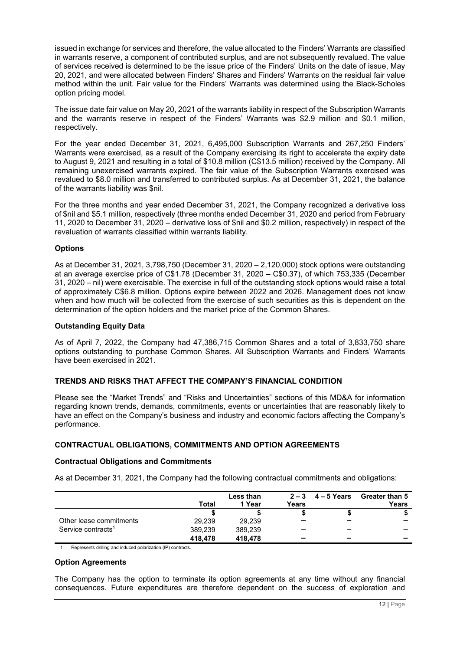issued in exchange for services and therefore, the value allocated to the Finders' Warrants are classified in warrants reserve, a component of contributed surplus, and are not subsequently revalued. The value of services received is determined to be the issue price of the Finders' Units on the date of issue, May 20, 2021, and were allocated between Finders' Shares and Finders' Warrants on the residual fair value method within the unit. Fair value for the Finders' Warrants was determined using the Black-Scholes option pricing model.

The issue date fair value on May 20, 2021 of the warrants liability in respect of the Subscription Warrants and the warrants reserve in respect of the Finders' Warrants was \$2.9 million and \$0.1 million, respectively.

For the year ended December 31, 2021, 6,495,000 Subscription Warrants and 267,250 Finders' Warrants were exercised, as a result of the Company exercising its right to accelerate the expiry date to August 9, 2021 and resulting in a total of \$10.8 million (C\$13.5 million) received by the Company. All remaining unexercised warrants expired. The fair value of the Subscription Warrants exercised was revalued to \$8.0 million and transferred to contributed surplus. As at December 31, 2021, the balance of the warrants liability was \$nil.

For the three months and year ended December 31, 2021, the Company recognized a derivative loss of \$nil and \$5.1 million, respectively (three months ended December 31, 2020 and period from February 11, 2020 to December 31, 2020 – derivative loss of \$nil and \$0.2 million, respectively) in respect of the revaluation of warrants classified within warrants liability.

# **Options**

As at December 31, 2021, 3,798,750 (December 31, 2020 – 2,120,000) stock options were outstanding at an average exercise price of C\$1.78 (December 31, 2020 – C\$0.37), of which 753,335 (December 31, 2020 – nil) were exercisable. The exercise in full of the outstanding stock options would raise a total of approximately C\$6.8 million. Options expire between 2022 and 2026. Management does not know when and how much will be collected from the exercise of such securities as this is dependent on the determination of the option holders and the market price of the Common Shares.

### **Outstanding Equity Data**

As of April 7, 2022, the Company had 47,386,715 Common Shares and a total of 3,833,750 share options outstanding to purchase Common Shares. All Subscription Warrants and Finders' Warrants have been exercised in 2021.

# <span id="page-11-0"></span>**TRENDS AND RISKS THAT AFFECT THE COMPANY'S FINANCIAL CONDITION**

Please see the "Market Trends" and "Risks and Uncertainties" sections of this MD&A for information regarding known trends, demands, commitments, events or uncertainties that are reasonably likely to have an effect on the Company's business and industry and economic factors affecting the Company's performance.

# <span id="page-11-1"></span>**CONTRACTUAL OBLIGATIONS, COMMITMENTS AND OPTION AGREEMENTS**

### **Contractual Obligations and Commitments**

As at December 31, 2021, the Company had the following contractual commitments and obligations:

|                                | <b>Total</b> | Less than<br>1 Year | Years                    | $2-3$ 4 – 5 Years        | <b>Greater than 5</b><br>Years |
|--------------------------------|--------------|---------------------|--------------------------|--------------------------|--------------------------------|
|                                |              |                     |                          |                          |                                |
| Other lease commitments        | 29.239       | 29.239              |                          | _                        |                                |
| Service contracts <sup>1</sup> | 389.239      | 389.239             | _                        |                          |                                |
|                                | 418,478      | 418,478             | $\overline{\phantom{0}}$ | $\overline{\phantom{a}}$ |                                |

Represents drilling and induced polarization (IP) contracts.

# **Option Agreements**

The Company has the option to terminate its option agreements at any time without any financial consequences. Future expenditures are therefore dependent on the success of exploration and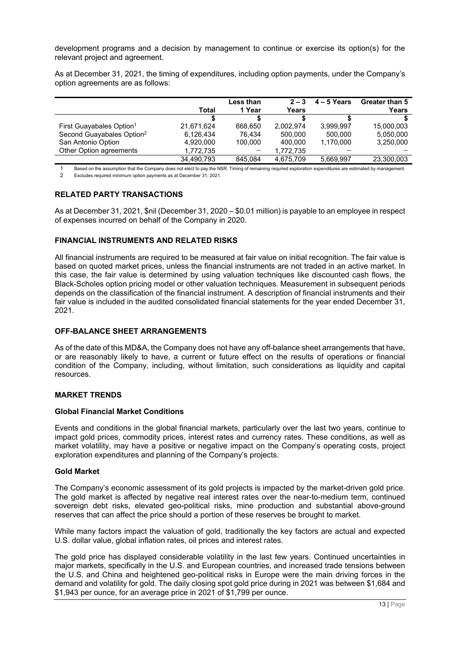development programs and a decision by management to continue or exercise its option(s) for the relevant project and agreement.

As at December 31, 2021, the timing of expenditures, including option payments, under the Company's option agreements are as follows:

|                                       | Total      | Less than<br>1 Year | $2 - 3$<br>Years | $4 - 5$ Years | Greater than 5<br>Years |
|---------------------------------------|------------|---------------------|------------------|---------------|-------------------------|
|                                       |            |                     |                  |               |                         |
| First Guayabales Option <sup>1</sup>  | 21,671,624 | 668.650             | 2.002.974        | 3,999,997     | 15,000,003              |
| Second Guayabales Option <sup>2</sup> | 6,126,434  | 76.434              | 500.000          | 500,000       | 5,050,000               |
| San Antonio Option                    | 4,920,000  | 100.000             | 400.000          | 1,170,000     | 3,250,000               |
| Other Option agreements               | 1,772,735  |                     | 1.772.735        |               |                         |
|                                       | 34.490.793 | 845.084             | 4.675.709        | 5,669,997     | 23,300,003              |

1 Based on the assumption that the Company does not elect to pay the NSR. Timing of remaining required exploration expenditures are estimated by management.<br>2 Excludes required minimum option payments as at December 31 202 2 Excludes required minimum option payments as at December 31, 2021.

# <span id="page-12-0"></span>**RELATED PARTY TRANSACTIONS**

As at December 31, 2021, \$nil (December 31, 2020 – \$0.01 million) is payable to an employee in respect of expenses incurred on behalf of the Company in 2020.

# <span id="page-12-1"></span>**FINANCIAL INSTRUMENTS AND RELATED RISKS**

All financial instruments are required to be measured at fair value on initial recognition. The fair value is based on quoted market prices, unless the financial instruments are not traded in an active market. In this case, the fair value is determined by using valuation techniques like discounted cash flows, the Black-Scholes option pricing model or other valuation techniques. Measurement in subsequent periods depends on the classification of the financial instrument. A description of financial instruments and their fair value is included in the audited consolidated financial statements for the year ended December 31, 2021.

# <span id="page-12-2"></span>**OFF-BALANCE SHEET ARRANGEMENTS**

As of the date of this MD&A, the Company does not have any off-balance sheet arrangements that have, or are reasonably likely to have, a current or future effect on the results of operations or financial condition of the Company, including, without limitation, such considerations as liquidity and capital resources.

# <span id="page-12-3"></span>**MARKET TRENDS**

### **Global Financial Market Conditions**

Events and conditions in the global financial markets, particularly over the last two years, continue to impact gold prices, commodity prices, interest rates and currency rates. These conditions, as well as market volatility, may have a positive or negative impact on the Company's operating costs, project exploration expenditures and planning of the Company's projects.

### **Gold Market**

The Company's economic assessment of its gold projects is impacted by the market-driven gold price. The gold market is affected by negative real interest rates over the near-to-medium term, continued sovereign debt risks, elevated geo-political risks, mine production and substantial above-ground reserves that can affect the price should a portion of these reserves be brought to market.

While many factors impact the valuation of gold, traditionally the key factors are actual and expected U.S. dollar value, global inflation rates, oil prices and interest rates.

The gold price has displayed considerable volatility in the last few years. Continued uncertainties in major markets, specifically in the U.S. and European countries, and increased trade tensions between the U.S. and China and heightened geo-political risks in Europe were the main driving forces in the demand and volatility for gold. The daily closing spot gold price during in 2021 was between \$1,684 and \$1,943 per ounce, for an average price in 2021 of \$1,799 per ounce.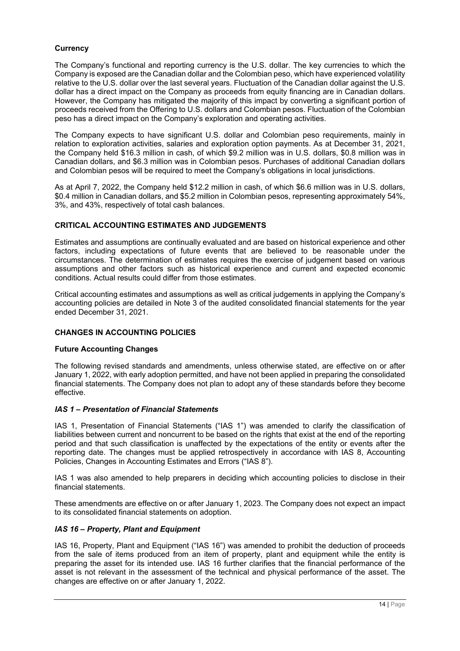# **Currency**

The Company's functional and reporting currency is the U.S. dollar. The key currencies to which the Company is exposed are the Canadian dollar and the Colombian peso, which have experienced volatility relative to the U.S. dollar over the last several years. Fluctuation of the Canadian dollar against the U.S. dollar has a direct impact on the Company as proceeds from equity financing are in Canadian dollars. However, the Company has mitigated the majority of this impact by converting a significant portion of proceeds received from the Offering to U.S. dollars and Colombian pesos. Fluctuation of the Colombian peso has a direct impact on the Company's exploration and operating activities.

The Company expects to have significant U.S. dollar and Colombian peso requirements, mainly in relation to exploration activities, salaries and exploration option payments. As at December 31, 2021, the Company held \$16.3 million in cash, of which \$9.2 million was in U.S. dollars, \$0.8 million was in Canadian dollars, and \$6.3 million was in Colombian pesos. Purchases of additional Canadian dollars and Colombian pesos will be required to meet the Company's obligations in local jurisdictions.

As at April 7, 2022, the Company held \$12.2 million in cash, of which \$6.6 million was in U.S. dollars, \$0.4 million in Canadian dollars, and \$5.2 million in Colombian pesos, representing approximately 54%, 3%, and 43%, respectively of total cash balances.

# <span id="page-13-0"></span>**CRITICAL ACCOUNTING ESTIMATES AND JUDGEMENTS**

Estimates and assumptions are continually evaluated and are based on historical experience and other factors, including expectations of future events that are believed to be reasonable under the circumstances. The determination of estimates requires the exercise of judgement based on various assumptions and other factors such as historical experience and current and expected economic conditions. Actual results could differ from those estimates.

Critical accounting estimates and assumptions as well as critical judgements in applying the Company's accounting policies are detailed in Note 3 of the audited consolidated financial statements for the year ended December 31, 2021.

# <span id="page-13-1"></span>**CHANGES IN ACCOUNTING POLICIES**

# **Future Accounting Changes**

The following revised standards and amendments, unless otherwise stated, are effective on or after January 1, 2022, with early adoption permitted, and have not been applied in preparing the consolidated financial statements. The Company does not plan to adopt any of these standards before they become effective.

# *IAS 1 – Presentation of Financial Statements*

IAS 1, Presentation of Financial Statements ("IAS 1") was amended to clarify the classification of liabilities between current and noncurrent to be based on the rights that exist at the end of the reporting period and that such classification is unaffected by the expectations of the entity or events after the reporting date. The changes must be applied retrospectively in accordance with IAS 8, Accounting Policies, Changes in Accounting Estimates and Errors ("IAS 8").

IAS 1 was also amended to help preparers in deciding which accounting policies to disclose in their financial statements.

These amendments are effective on or after January 1, 2023. The Company does not expect an impact to its consolidated financial statements on adoption.

# *IAS 16 – Property, Plant and Equipment*

IAS 16, Property, Plant and Equipment ("IAS 16") was amended to prohibit the deduction of proceeds from the sale of items produced from an item of property, plant and equipment while the entity is preparing the asset for its intended use. IAS 16 further clarifies that the financial performance of the asset is not relevant in the assessment of the technical and physical performance of the asset. The changes are effective on or after January 1, 2022.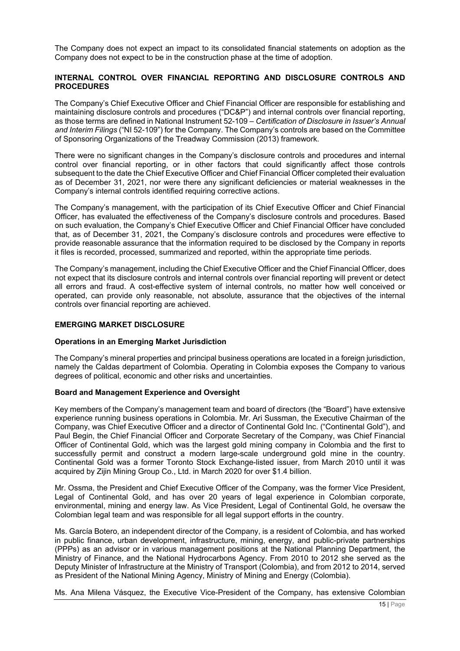The Company does not expect an impact to its consolidated financial statements on adoption as the Company does not expect to be in the construction phase at the time of adoption.

### <span id="page-14-0"></span>**INTERNAL CONTROL OVER FINANCIAL REPORTING AND DISCLOSURE CONTROLS AND PROCEDURES**

The Company's Chief Executive Officer and Chief Financial Officer are responsible for establishing and maintaining disclosure controls and procedures ("DC&P") and internal controls over financial reporting, as those terms are defined in National Instrument 52-109 – *Certification of Disclosure in Issuer's Annual and Interim Filings* ("NI 52-109") for the Company. The Company's controls are based on the Committee of Sponsoring Organizations of the Treadway Commission (2013) framework.

There were no significant changes in the Company's disclosure controls and procedures and internal control over financial reporting, or in other factors that could significantly affect those controls subsequent to the date the Chief Executive Officer and Chief Financial Officer completed their evaluation as of December 31, 2021, nor were there any significant deficiencies or material weaknesses in the Company's internal controls identified requiring corrective actions.

The Company's management, with the participation of its Chief Executive Officer and Chief Financial Officer, has evaluated the effectiveness of the Company's disclosure controls and procedures. Based on such evaluation, the Company's Chief Executive Officer and Chief Financial Officer have concluded that, as of December 31, 2021, the Company's disclosure controls and procedures were effective to provide reasonable assurance that the information required to be disclosed by the Company in reports it files is recorded, processed, summarized and reported, within the appropriate time periods.

The Company's management, including the Chief Executive Officer and the Chief Financial Officer, does not expect that its disclosure controls and internal controls over financial reporting will prevent or detect all errors and fraud. A cost-effective system of internal controls, no matter how well conceived or operated, can provide only reasonable, not absolute, assurance that the objectives of the internal controls over financial reporting are achieved.

### <span id="page-14-1"></span>**EMERGING MARKET DISCLOSURE**

### **Operations in an Emerging Market Jurisdiction**

The Company's mineral properties and principal business operations are located in a foreign jurisdiction, namely the Caldas department of Colombia. Operating in Colombia exposes the Company to various degrees of political, economic and other risks and uncertainties.

### **Board and Management Experience and Oversight**

Key members of the Company's management team and board of directors (the "Board") have extensive experience running business operations in Colombia. Mr. Ari Sussman, the Executive Chairman of the Company, was Chief Executive Officer and a director of Continental Gold Inc. ("Continental Gold"), and Paul Begin, the Chief Financial Officer and Corporate Secretary of the Company, was Chief Financial Officer of Continental Gold, which was the largest gold mining company in Colombia and the first to successfully permit and construct a modern large-scale underground gold mine in the country. Continental Gold was a former Toronto Stock Exchange-listed issuer, from March 2010 until it was acquired by Zijin Mining Group Co., Ltd. in March 2020 for over \$1.4 billion.

Mr. Ossma, the President and Chief Executive Officer of the Company, was the former Vice President, Legal of Continental Gold, and has over 20 years of legal experience in Colombian corporate, environmental, mining and energy law. As Vice President, Legal of Continental Gold, he oversaw the Colombian legal team and was responsible for all legal support efforts in the country.

Ms. García Botero, an independent director of the Company, is a resident of Colombia, and has worked in public finance, urban development, infrastructure, mining, energy, and public-private partnerships (PPPs) as an advisor or in various management positions at the National Planning Department, the Ministry of Finance, and the National Hydrocarbons Agency. From 2010 to 2012 she served as the Deputy Minister of Infrastructure at the Ministry of Transport (Colombia), and from 2012 to 2014, served as President of the National Mining Agency, Ministry of Mining and Energy (Colombia).

Ms. Ana Milena Vásquez, the Executive Vice-President of the Company, has extensive Colombian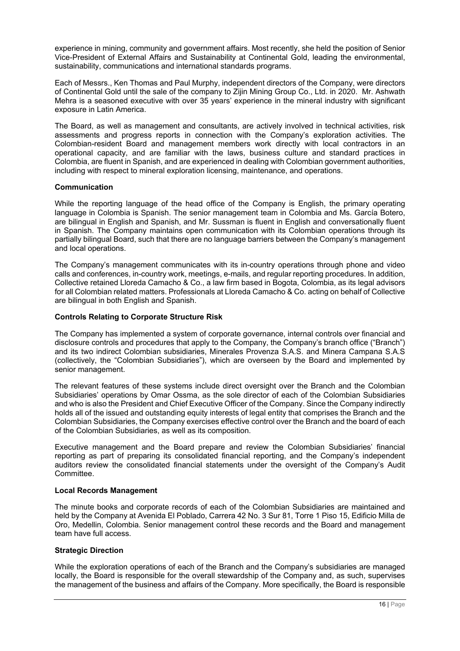experience in mining, community and government affairs. Most recently, she held the position of Senior Vice-President of External Affairs and Sustainability at Continental Gold, leading the environmental, sustainability, communications and international standards programs.

Each of Messrs., Ken Thomas and Paul Murphy, independent directors of the Company, were directors of Continental Gold until the sale of the company to Zijin Mining Group Co., Ltd. in 2020. Mr. Ashwath Mehra is a seasoned executive with over 35 years' experience in the mineral industry with significant exposure in Latin America.

The Board, as well as management and consultants, are actively involved in technical activities, risk assessments and progress reports in connection with the Company's exploration activities. The Colombian-resident Board and management members work directly with local contractors in an operational capacity, and are familiar with the laws, business culture and standard practices in Colombia, are fluent in Spanish, and are experienced in dealing with Colombian government authorities, including with respect to mineral exploration licensing, maintenance, and operations.

# **Communication**

While the reporting language of the head office of the Company is English, the primary operating language in Colombia is Spanish. The senior management team in Colombia and Ms. García Botero, are bilingual in English and Spanish, and Mr. Sussman is fluent in English and conversationally fluent in Spanish. The Company maintains open communication with its Colombian operations through its partially bilingual Board, such that there are no language barriers between the Company's management and local operations.

The Company's management communicates with its in-country operations through phone and video calls and conferences, in-country work, meetings, e-mails, and regular reporting procedures. [In addition,](https://lloredacamacho.com/)  [Collective retained Lloreda Camacho & Co., a law firm based in Bogota, Colombia, as its legal advisors](https://lloredacamacho.com/)  [for all Colombian related matters. Professionals at Lloreda Camacho & Co. acting on behalf of Collective](https://lloredacamacho.com/)  [are bilingual in both English and Spanish.](https://lloredacamacho.com/) 

# **Controls Relating to Corporate Structure Risk**

The Company has implemented a system of corporate governance, internal controls over financial and disclosure controls and procedures that apply to the Company, the Company's branch office ("Branch") and its two indirect Colombian subsidiaries, Minerales Provenza S.A.S. and Minera Campana S.A.S (collectively, the "Colombian Subsidiaries"), which are overseen by the Board and implemented by senior management.

The relevant features of these systems include direct oversight over the Branch and the Colombian Subsidiaries' operations by Omar Ossma, as the sole director of each of the Colombian Subsidiaries and who is also the President and Chief Executive Officer of the Company. Since the Company indirectly holds all of the issued and outstanding equity interests of legal entity that comprises the Branch and the Colombian Subsidiaries, the Company exercises effective control over the Branch and the board of each of the Colombian Subsidiaries, as well as its composition.

Executive management and the Board prepare and review the Colombian Subsidiaries' financial reporting as part of preparing its consolidated financial reporting, and the Company's independent auditors review the consolidated financial statements under the oversight of the Company's Audit **Committee.** 

### **Local Records Management**

The minute books and corporate records of each of the Colombian Subsidiaries are maintained and held by the Company at Avenida El Poblado, Carrera 42 No. 3 Sur 81, Torre 1 Piso 15, Edificio Milla de Oro, Medellin, Colombia. Senior management control these records and the Board and management team have full access.

# **Strategic Direction**

While the exploration operations of each of the Branch and the Company's subsidiaries are managed locally, the Board is responsible for the overall stewardship of the Company and, as such, supervises the management of the business and affairs of the Company. More specifically, the Board is responsible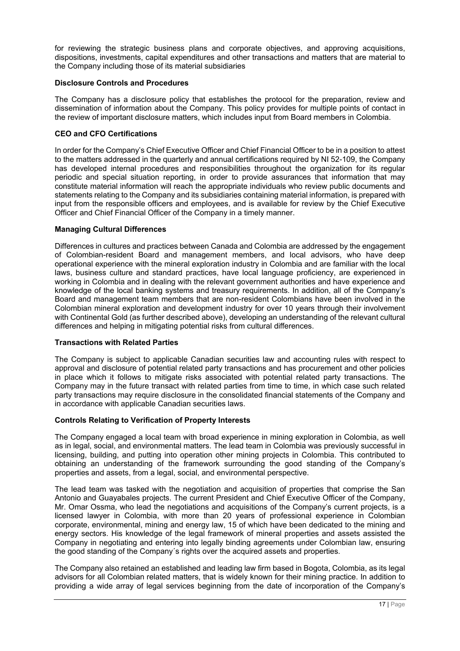for reviewing the strategic business plans and corporate objectives, and approving acquisitions, dispositions, investments, capital expenditures and other transactions and matters that are material to the Company including those of its material subsidiaries

# **Disclosure Controls and Procedures**

The Company has a disclosure policy that establishes the protocol for the preparation, review and dissemination of information about the Company. This policy provides for multiple points of contact in the review of important disclosure matters, which includes input from Board members in Colombia.

# **CEO and CFO Certifications**

In order for the Company's Chief Executive Officer and Chief Financial Officer to be in a position to attest to the matters addressed in the quarterly and annual certifications required by NI 52-109, the Company has developed internal procedures and responsibilities throughout the organization for its regular periodic and special situation reporting, in order to provide assurances that information that may constitute material information will reach the appropriate individuals who review public documents and statements relating to the Company and its subsidiaries containing material information, is prepared with input from the responsible officers and employees, and is available for review by the Chief Executive Officer and Chief Financial Officer of the Company in a timely manner.

# **Managing Cultural Differences**

Differences in cultures and practices between Canada and Colombia are addressed by the engagement of Colombian-resident Board and management members, and local advisors, who have deep operational experience with the mineral exploration industry in Colombia and are familiar with the local laws, business culture and standard practices, have local language proficiency, are experienced in working in Colombia and in dealing with the relevant government authorities and have experience and knowledge of the local banking systems and treasury requirements. In addition, all of the Company's Board and management team members that are non-resident Colombians have been involved in the Colombian mineral exploration and development industry for over 10 years through their involvement with Continental Gold (as further described above), developing an understanding of the relevant cultural differences and helping in mitigating potential risks from cultural differences.

# **Transactions with Related Parties**

The Company is subject to applicable Canadian securities law and accounting rules with respect to approval and disclosure of potential related party transactions and has procurement and other policies in place which it follows to mitigate risks associated with potential related party transactions. The Company may in the future transact with related parties from time to time, in which case such related party transactions may require disclosure in the consolidated financial statements of the Company and in accordance with applicable Canadian securities laws.

# **Controls Relating to Verification of Property Interests**

The Company engaged a local team with broad experience in mining exploration in Colombia, as well as in legal, social, and environmental matters. The lead team in Colombia was previously successful in licensing, building, and putting into operation other mining projects in Colombia. This contributed to obtaining an understanding of the framework surrounding the good standing of the Company's properties and assets, from a legal, social, and environmental perspective.

The lead team was tasked with the negotiation and acquisition of properties that comprise the San Antonio and Guayabales projects. The current President and Chief Executive Officer of the Company, Mr. Omar Ossma, who lead the negotiations and acquisitions of the Company's current projects, is a licensed lawyer in Colombia, with more than 20 years of professional experience in Colombian corporate, environmental, mining and energy law, 15 of which have been dedicated to the mining and energy sectors. His knowledge of the legal framework of mineral properties and assets assisted the Company in negotiating and entering into legally binding agreements under Colombian law, ensuring the good standing of the Company´s rights over the acquired assets and properties.

The Company also retained an established and leading law firm based in Bogota, Colombia, as its legal advisors for all Colombian related matters, that is widely known for their mining practice. In addition to providing a wide array of legal services beginning from the date of incorporation of the Company's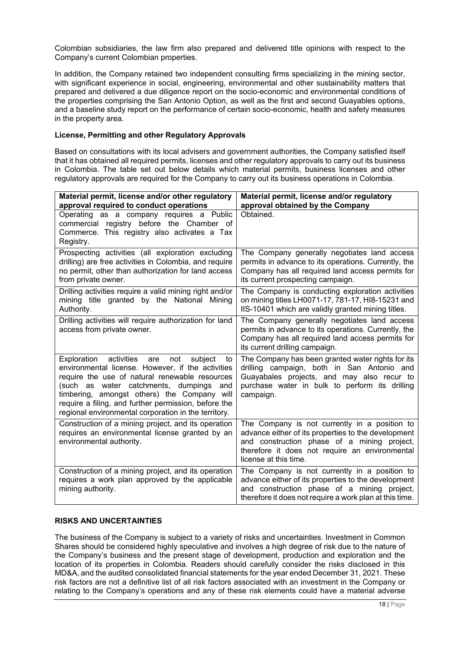Colombian subsidiaries, the law firm also prepared and delivered title opinions with respect to the Company's current Colombian properties.

In addition, the Company retained two independent consulting firms specializing in the mining sector, with significant experience in social, engineering, environmental and other sustainability matters that prepared and delivered a due diligence report on the socio-economic and environmental conditions of the properties comprising the San Antonio Option, as well as the first and second Guayables options, and a baseline study report on the performance of certain socio-economic, health and safety measures in the property area.

# **License, Permitting and other Regulatory Approvals**

Based on consultations with its local advisers and government authorities, the Company satisfied itself that it has obtained all required permits, licenses and other regulatory approvals to carry out its business in Colombia. The table set out below details which material permits, business licenses and other regulatory approvals are required for the Company to carry out its business operations in Colombia.

| Material permit, license and/or other regulatory                                                                                                                                                                                                                                                                                                                          | Material permit, license and/or regulatory                                                                                                                                                                                     |  |  |
|---------------------------------------------------------------------------------------------------------------------------------------------------------------------------------------------------------------------------------------------------------------------------------------------------------------------------------------------------------------------------|--------------------------------------------------------------------------------------------------------------------------------------------------------------------------------------------------------------------------------|--|--|
| approval required to conduct operations                                                                                                                                                                                                                                                                                                                                   | approval obtained by the Company                                                                                                                                                                                               |  |  |
| Operating as a company requires a Public<br>commercial registry before the Chamber of<br>Commerce. This registry also activates a Tax<br>Registry.                                                                                                                                                                                                                        | Obtained.                                                                                                                                                                                                                      |  |  |
| Prospecting activities (all exploration excluding<br>drilling) are free activities in Colombia, and require<br>no permit, other than authorization for land access<br>from private owner.                                                                                                                                                                                 | The Company generally negotiates land access<br>permits in advance to its operations. Currently, the<br>Company has all required land access permits for<br>its current prospecting campaign.                                  |  |  |
| Drilling activities require a valid mining right and/or<br>mining title granted by the National<br>Mining<br>Authority.                                                                                                                                                                                                                                                   | The Company is conducting exploration activities<br>on mining titles LH0071-17, 781-17, HI8-15231 and<br>IIS-10401 which are validly granted mining titles.                                                                    |  |  |
| Drilling activities will require authorization for land<br>access from private owner.                                                                                                                                                                                                                                                                                     | The Company generally negotiates land access<br>permits in advance to its operations. Currently, the<br>Company has all required land access permits for<br>its current drilling campaign.                                     |  |  |
| Exploration activities<br>not<br>subject<br>are<br>to<br>environmental license. However, if the activities<br>require the use of natural renewable resources<br>(such as water catchments, dumpings<br>and<br>timbering, amongst others) the Company will<br>require a filing, and further permission, before the<br>regional environmental corporation in the territory. | The Company has been granted water rights for its<br>drilling campaign, both in San Antonio and<br>Guayabales projects, and may also recur to<br>purchase water in bulk to perform its drilling<br>campaign.                   |  |  |
| Construction of a mining project, and its operation<br>requires an environmental license granted by an<br>environmental authority.                                                                                                                                                                                                                                        | The Company is not currently in a position to<br>advance either of its properties to the development<br>and construction phase of a mining project,<br>therefore it does not require an environmental<br>license at this time. |  |  |
| Construction of a mining project, and its operation<br>requires a work plan approved by the applicable<br>mining authority.                                                                                                                                                                                                                                               | The Company is not currently in a position to<br>advance either of its properties to the development<br>and construction phase of a mining project,<br>therefore it does not require a work plan at this time.                 |  |  |

### <span id="page-17-0"></span>**RISKS AND UNCERTAINTIES**

The business of the Company is subject to a variety of risks and uncertainties. Investment in Common Shares should be considered highly speculative and involves a high degree of risk due to the nature of the Company's business and the present stage of development, production and exploration and the location of its properties in Colombia. Readers should carefully consider the risks disclosed in this MD&A, and the audited consolidated financial statements for the year ended December 31, 2021. These risk factors are not a definitive list of all risk factors associated with an investment in the Company or relating to the Company's operations and any of these risk elements could have a material adverse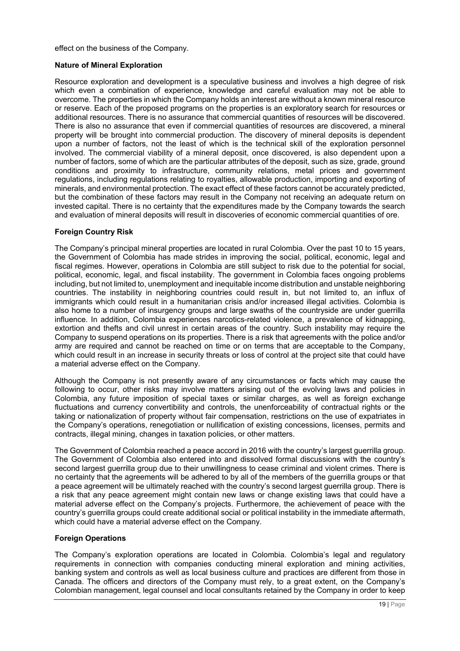effect on the business of the Company.

### **Nature of Mineral Exploration**

Resource exploration and development is a speculative business and involves a high degree of risk which even a combination of experience, knowledge and careful evaluation may not be able to overcome. The properties in which the Company holds an interest are without a known mineral resource or reserve. Each of the proposed programs on the properties is an exploratory search for resources or additional resources. There is no assurance that commercial quantities of resources will be discovered. There is also no assurance that even if commercial quantities of resources are discovered, a mineral property will be brought into commercial production. The discovery of mineral deposits is dependent upon a number of factors, not the least of which is the technical skill of the exploration personnel involved. The commercial viability of a mineral deposit, once discovered, is also dependent upon a number of factors, some of which are the particular attributes of the deposit, such as size, grade, ground conditions and proximity to infrastructure, community relations, metal prices and government regulations, including regulations relating to royalties, allowable production, importing and exporting of minerals, and environmental protection. The exact effect of these factors cannot be accurately predicted, but the combination of these factors may result in the Company not receiving an adequate return on invested capital. There is no certainty that the expenditures made by the Company towards the search and evaluation of mineral deposits will result in discoveries of economic commercial quantities of ore.

### **Foreign Country Risk**

The Company's principal mineral properties are located in rural Colombia. Over the past 10 to 15 years, the Government of Colombia has made strides in improving the social, political, economic, legal and fiscal regimes. However, operations in Colombia are still subject to risk due to the potential for social, political, economic, legal, and fiscal instability. The government in Colombia faces ongoing problems including, but not limited to, unemployment and inequitable income distribution and unstable neighboring countries. The instability in neighboring countries could result in, but not limited to, an influx of immigrants which could result in a humanitarian crisis and/or increased illegal activities. Colombia is also home to a number of insurgency groups and large swaths of the countryside are under guerrilla influence. In addition, Colombia experiences narcotics-related violence, a prevalence of kidnapping, extortion and thefts and civil unrest in certain areas of the country. Such instability may require the Company to suspend operations on its properties. There is a risk that agreements with the police and/or army are required and cannot be reached on time or on terms that are acceptable to the Company, which could result in an increase in security threats or loss of control at the project site that could have a material adverse effect on the Company.

Although the Company is not presently aware of any circumstances or facts which may cause the following to occur, other risks may involve matters arising out of the evolving laws and policies in Colombia, any future imposition of special taxes or similar charges, as well as foreign exchange fluctuations and currency convertibility and controls, the unenforceability of contractual rights or the taking or nationalization of property without fair compensation, restrictions on the use of expatriates in the Company's operations, renegotiation or nullification of existing concessions, licenses, permits and contracts, illegal mining, changes in taxation policies, or other matters.

The Government of Colombia reached a peace accord in 2016 with the country's largest guerrilla group. The Government of Colombia also entered into and dissolved formal discussions with the country's second largest guerrilla group due to their unwillingness to cease criminal and violent crimes. There is no certainty that the agreements will be adhered to by all of the members of the guerrilla groups or that a peace agreement will be ultimately reached with the country's second largest guerrilla group. There is a risk that any peace agreement might contain new laws or change existing laws that could have a material adverse effect on the Company's projects. Furthermore, the achievement of peace with the country's guerrilla groups could create additional social or political instability in the immediate aftermath, which could have a material adverse effect on the Company.

# **Foreign Operations**

The Company's exploration operations are located in Colombia. Colombia's legal and regulatory requirements in connection with companies conducting mineral exploration and mining activities, banking system and controls as well as local business culture and practices are different from those in Canada. The officers and directors of the Company must rely, to a great extent, on the Company's Colombian management, legal counsel and local consultants retained by the Company in order to keep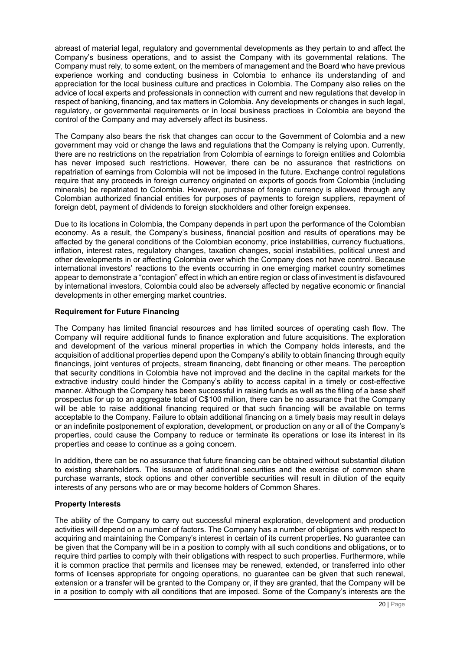abreast of material legal, regulatory and governmental developments as they pertain to and affect the Company's business operations, and to assist the Company with its governmental relations. The Company must rely, to some extent, on the members of management and the Board who have previous experience working and conducting business in Colombia to enhance its understanding of and appreciation for the local business culture and practices in Colombia. The Company also relies on the advice of local experts and professionals in connection with current and new regulations that develop in respect of banking, financing, and tax matters in Colombia. Any developments or changes in such legal, regulatory, or governmental requirements or in local business practices in Colombia are beyond the control of the Company and may adversely affect its business.

The Company also bears the risk that changes can occur to the Government of Colombia and a new government may void or change the laws and regulations that the Company is relying upon. Currently, there are no restrictions on the repatriation from Colombia of earnings to foreign entities and Colombia has never imposed such restrictions. However, there can be no assurance that restrictions on repatriation of earnings from Colombia will not be imposed in the future. Exchange control regulations require that any proceeds in foreign currency originated on exports of goods from Colombia (including minerals) be repatriated to Colombia. However, purchase of foreign currency is allowed through any Colombian authorized financial entities for purposes of payments to foreign suppliers, repayment of foreign debt, payment of dividends to foreign stockholders and other foreign expenses.

Due to its locations in Colombia, the Company depends in part upon the performance of the Colombian economy. As a result, the Company's business, financial position and results of operations may be affected by the general conditions of the Colombian economy, price instabilities, currency fluctuations, inflation, interest rates, regulatory changes, taxation changes, social instabilities, political unrest and other developments in or affecting Colombia over which the Company does not have control. Because international investors' reactions to the events occurring in one emerging market country sometimes appear to demonstrate a "contagion" effect in which an entire region or class of investment is disfavoured by international investors, Colombia could also be adversely affected by negative economic or financial developments in other emerging market countries.

# **Requirement for Future Financing**

The Company has limited financial resources and has limited sources of operating cash flow. The Company will require additional funds to finance exploration and future acquisitions. The exploration and development of the various mineral properties in which the Company holds interests, and the acquisition of additional properties depend upon the Company's ability to obtain financing through equity financings, joint ventures of projects, stream financing, debt financing or other means. The perception that security conditions in Colombia have not improved and the decline in the capital markets for the extractive industry could hinder the Company's ability to access capital in a timely or cost-effective manner. Although the Company has been successful in raising funds as well as the filing of a base shelf prospectus for up to an aggregate total of C\$100 million, there can be no assurance that the Company will be able to raise additional financing required or that such financing will be available on terms acceptable to the Company. Failure to obtain additional financing on a timely basis may result in delays or an indefinite postponement of exploration, development, or production on any or all of the Company's properties, could cause the Company to reduce or terminate its operations or lose its interest in its properties and cease to continue as a going concern.

In addition, there can be no assurance that future financing can be obtained without substantial dilution to existing shareholders. The issuance of additional securities and the exercise of common share purchase warrants, stock options and other convertible securities will result in dilution of the equity interests of any persons who are or may become holders of Common Shares.

# **Property Interests**

The ability of the Company to carry out successful mineral exploration, development and production activities will depend on a number of factors. The Company has a number of obligations with respect to acquiring and maintaining the Company's interest in certain of its current properties. No guarantee can be given that the Company will be in a position to comply with all such conditions and obligations, or to require third parties to comply with their obligations with respect to such properties. Furthermore, while it is common practice that permits and licenses may be renewed, extended, or transferred into other forms of licenses appropriate for ongoing operations, no guarantee can be given that such renewal, extension or a transfer will be granted to the Company or, if they are granted, that the Company will be in a position to comply with all conditions that are imposed. Some of the Company's interests are the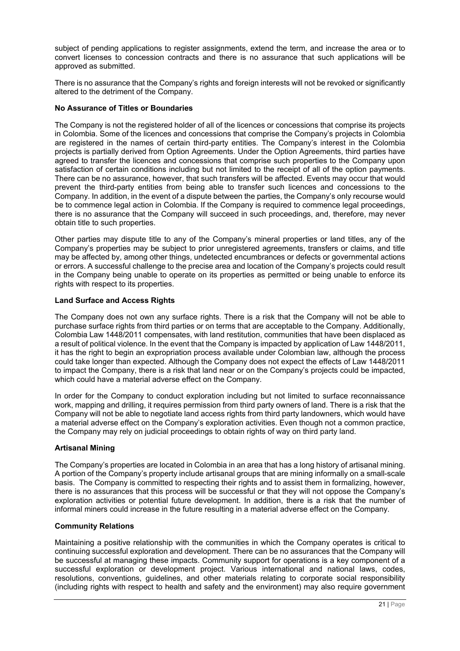subject of pending applications to register assignments, extend the term, and increase the area or to convert licenses to concession contracts and there is no assurance that such applications will be approved as submitted.

There is no assurance that the Company's rights and foreign interests will not be revoked or significantly altered to the detriment of the Company.

### **No Assurance of Titles or Boundaries**

The Company is not the registered holder of all of the licences or concessions that comprise its projects in Colombia. Some of the licences and concessions that comprise the Company's projects in Colombia are registered in the names of certain third-party entities. The Company's interest in the Colombia projects is partially derived from Option Agreements. Under the Option Agreements, third parties have agreed to transfer the licences and concessions that comprise such properties to the Company upon satisfaction of certain conditions including but not limited to the receipt of all of the option payments. There can be no assurance, however, that such transfers will be affected. Events may occur that would prevent the third-party entities from being able to transfer such licences and concessions to the Company. In addition, in the event of a dispute between the parties, the Company's only recourse would be to commence legal action in Colombia. If the Company is required to commence legal proceedings, there is no assurance that the Company will succeed in such proceedings, and, therefore, may never obtain title to such properties.

Other parties may dispute title to any of the Company's mineral properties or land titles, any of the Company's properties may be subject to prior unregistered agreements, transfers or claims, and title may be affected by, among other things, undetected encumbrances or defects or governmental actions or errors. A successful challenge to the precise area and location of the Company's projects could result in the Company being unable to operate on its properties as permitted or being unable to enforce its rights with respect to its properties.

# **Land Surface and Access Rights**

The Company does not own any surface rights. There is a risk that the Company will not be able to purchase surface rights from third parties or on terms that are acceptable to the Company. Additionally, Colombia Law 1448/2011 compensates, with land restitution, communities that have been displaced as a result of political violence. In the event that the Company is impacted by application of Law 1448/2011, it has the right to begin an expropriation process available under Colombian law, although the process could take longer than expected. Although the Company does not expect the effects of Law 1448/2011 to impact the Company, there is a risk that land near or on the Company's projects could be impacted, which could have a material adverse effect on the Company.

In order for the Company to conduct exploration including but not limited to surface reconnaissance work, mapping and drilling, it requires permission from third party owners of land. There is a risk that the Company will not be able to negotiate land access rights from third party landowners, which would have a material adverse effect on the Company's exploration activities. Even though not a common practice, the Company may rely on judicial proceedings to obtain rights of way on third party land.

# **Artisanal Mining**

The Company's properties are located in Colombia in an area that has a long history of artisanal mining. A portion of the Company's property include artisanal groups that are mining informally on a small-scale basis. The Company is committed to respecting their rights and to assist them in formalizing, however, there is no assurances that this process will be successful or that they will not oppose the Company's exploration activities or potential future development. In addition, there is a risk that the number of informal miners could increase in the future resulting in a material adverse effect on the Company.

### **Community Relations**

Maintaining a positive relationship with the communities in which the Company operates is critical to continuing successful exploration and development. There can be no assurances that the Company will be successful at managing these impacts. Community support for operations is a key component of a successful exploration or development project. Various international and national laws, codes, resolutions, conventions, guidelines, and other materials relating to corporate social responsibility (including rights with respect to health and safety and the environment) may also require government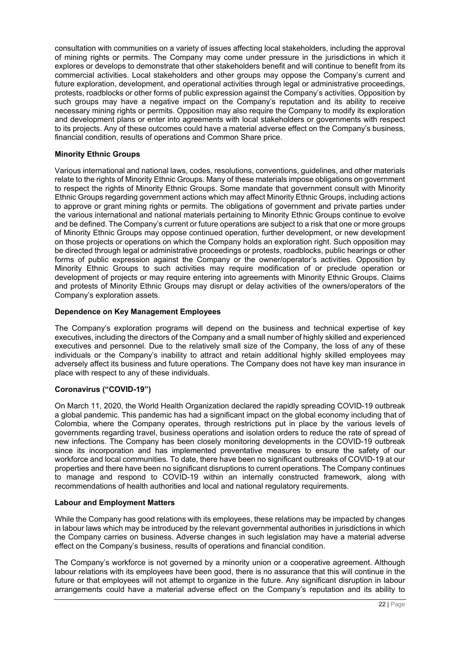consultation with communities on a variety of issues affecting local stakeholders, including the approval of mining rights or permits. The Company may come under pressure in the jurisdictions in which it explores or develops to demonstrate that other stakeholders benefit and will continue to benefit from its commercial activities. Local stakeholders and other groups may oppose the Company's current and future exploration, development, and operational activities through legal or administrative proceedings, protests, roadblocks or other forms of public expression against the Company's activities. Opposition by such groups may have a negative impact on the Company's reputation and its ability to receive necessary mining rights or permits. Opposition may also require the Company to modify its exploration and development plans or enter into agreements with local stakeholders or governments with respect to its projects. Any of these outcomes could have a material adverse effect on the Company's business, financial condition, results of operations and Common Share price.

# **Minority Ethnic Groups**

Various international and national laws, codes, resolutions, conventions, guidelines, and other materials relate to the rights of Minority Ethnic Groups. Many of these materials impose obligations on government to respect the rights of Minority Ethnic Groups. Some mandate that government consult with Minority Ethnic Groups regarding government actions which may affect Minority Ethnic Groups, including actions to approve or grant mining rights or permits. The obligations of government and private parties under the various international and national materials pertaining to Minority Ethnic Groups continue to evolve and be defined. The Company's current or future operations are subject to a risk that one or more groups of Minority Ethnic Groups may oppose continued operation, further development, or new development on those projects or operations on which the Company holds an exploration right. Such opposition may be directed through legal or administrative proceedings or protests, roadblocks, public hearings or other forms of public expression against the Company or the owner/operator's activities. Opposition by Minority Ethnic Groups to such activities may require modification of or preclude operation or development of projects or may require entering into agreements with Minority Ethnic Groups. Claims and protests of Minority Ethnic Groups may disrupt or delay activities of the owners/operators of the Company's exploration assets.

# **Dependence on Key Management Employees**

The Company's exploration programs will depend on the business and technical expertise of key executives, including the directors of the Company and a small number of highly skilled and experienced executives and personnel. Due to the relatively small size of the Company, the loss of any of these individuals or the Company's inability to attract and retain additional highly skilled employees may adversely affect its business and future operations. The Company does not have key man insurance in place with respect to any of these individuals.

# **Coronavirus ("COVID-19")**

On March 11, 2020, the World Health Organization declared the rapidly spreading COVID-19 outbreak a global pandemic. This pandemic has had a significant impact on the global economy including that of Colombia, where the Company operates, through restrictions put in place by the various levels of governments regarding travel, business operations and isolation orders to reduce the rate of spread of new infections. The Company has been closely monitoring developments in the COVID-19 outbreak since its incorporation and has implemented preventative measures to ensure the safety of our workforce and local communities. To date, there have been no significant outbreaks of COVID-19 at our properties and there have been no significant disruptions to current operations. The Company continues to manage and respond to COVID-19 within an internally constructed framework, along with recommendations of health authorities and local and national regulatory requirements.

# **Labour and Employment Matters**

While the Company has good relations with its employees, these relations may be impacted by changes in labour laws which may be introduced by the relevant governmental authorities in jurisdictions in which the Company carries on business. Adverse changes in such legislation may have a material adverse effect on the Company's business, results of operations and financial condition.

The Company's workforce is not governed by a minority union or a cooperative agreement. Although labour relations with its employees have been good, there is no assurance that this will continue in the future or that employees will not attempt to organize in the future. Any significant disruption in labour arrangements could have a material adverse effect on the Company's reputation and its ability to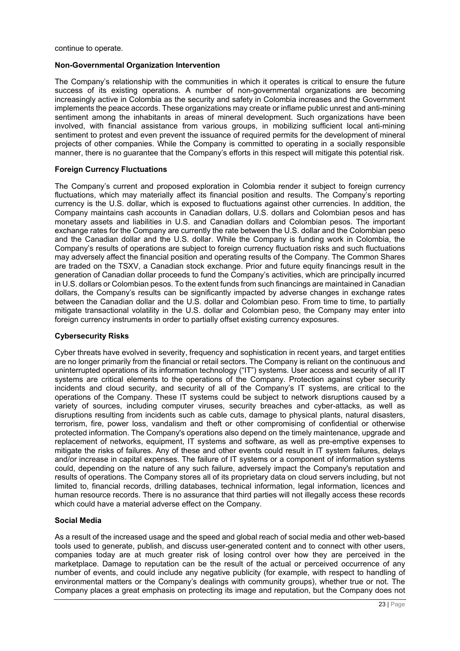continue to operate.

### **Non-Governmental Organization Intervention**

The Company's relationship with the communities in which it operates is critical to ensure the future success of its existing operations. A number of non-governmental organizations are becoming increasingly active in Colombia as the security and safety in Colombia increases and the Government implements the peace accords. These organizations may create or inflame public unrest and anti-mining sentiment among the inhabitants in areas of mineral development. Such organizations have been involved, with financial assistance from various groups, in mobilizing sufficient local anti-mining sentiment to protest and even prevent the issuance of required permits for the development of mineral projects of other companies. While the Company is committed to operating in a socially responsible manner, there is no guarantee that the Company's efforts in this respect will mitigate this potential risk.

### **Foreign Currency Fluctuations**

The Company's current and proposed exploration in Colombia render it subject to foreign currency fluctuations, which may materially affect its financial position and results. The Company's reporting currency is the U.S. dollar, which is exposed to fluctuations against other currencies. In addition, the Company maintains cash accounts in Canadian dollars, U.S. dollars and Colombian pesos and has monetary assets and liabilities in U.S. and Canadian dollars and Colombian pesos. The important exchange rates for the Company are currently the rate between the U.S. dollar and the Colombian peso and the Canadian dollar and the U.S. dollar. While the Company is funding work in Colombia, the Company's results of operations are subject to foreign currency fluctuation risks and such fluctuations may adversely affect the financial position and operating results of the Company. The Common Shares are traded on the TSXV, a Canadian stock exchange. Prior and future equity financings result in the generation of Canadian dollar proceeds to fund the Company's activities, which are principally incurred in U.S. dollars or Colombian pesos. To the extent funds from such financings are maintained in Canadian dollars, the Company's results can be significantly impacted by adverse changes in exchange rates between the Canadian dollar and the U.S. dollar and Colombian peso. From time to time, to partially mitigate transactional volatility in the U.S. dollar and Colombian peso, the Company may enter into foreign currency instruments in order to partially offset existing currency exposures.

### **Cybersecurity Risks**

Cyber threats have evolved in severity, frequency and sophistication in recent years, and target entities are no longer primarily from the financial or retail sectors. The Company is reliant on the continuous and uninterrupted operations of its information technology ("IT") systems. User access and security of all IT systems are critical elements to the operations of the Company. Protection against cyber security incidents and cloud security, and security of all of the Company's IT systems, are critical to the operations of the Company. These IT systems could be subject to network disruptions caused by a variety of sources, including computer viruses, security breaches and cyber-attacks, as well as disruptions resulting from incidents such as cable cuts, damage to physical plants, natural disasters, terrorism, fire, power loss, vandalism and theft or other compromising of confidential or otherwise protected information. The Company's operations also depend on the timely maintenance, upgrade and replacement of networks, equipment, IT systems and software, as well as pre-emptive expenses to mitigate the risks of failures. Any of these and other events could result in IT system failures, delays and/or increase in capital expenses. The failure of IT systems or a component of information systems could, depending on the nature of any such failure, adversely impact the Company's reputation and results of operations. The Company stores all of its proprietary data on cloud servers including, but not limited to, financial records, drilling databases, technical information, legal information, licences and human resource records. There is no assurance that third parties will not illegally access these records which could have a material adverse effect on the Company.

### **Social Media**

As a result of the increased usage and the speed and global reach of social media and other web-based tools used to generate, publish, and discuss user-generated content and to connect with other users, companies today are at much greater risk of losing control over how they are perceived in the marketplace. Damage to reputation can be the result of the actual or perceived occurrence of any number of events, and could include any negative publicity (for example, with respect to handling of environmental matters or the Company's dealings with community groups), whether true or not. The Company places a great emphasis on protecting its image and reputation, but the Company does not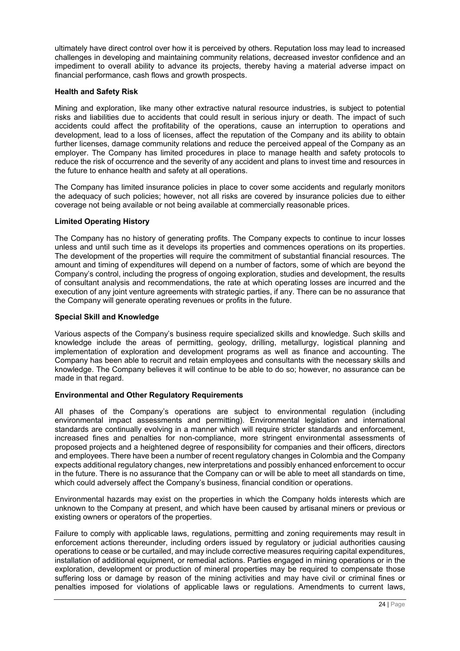ultimately have direct control over how it is perceived by others. Reputation loss may lead to increased challenges in developing and maintaining community relations, decreased investor confidence and an impediment to overall ability to advance its projects, thereby having a material adverse impact on financial performance, cash flows and growth prospects.

### **Health and Safety Risk**

Mining and exploration, like many other extractive natural resource industries, is subject to potential risks and liabilities due to accidents that could result in serious injury or death. The impact of such accidents could affect the profitability of the operations, cause an interruption to operations and development, lead to a loss of licenses, affect the reputation of the Company and its ability to obtain further licenses, damage community relations and reduce the perceived appeal of the Company as an employer. The Company has limited procedures in place to manage health and safety protocols to reduce the risk of occurrence and the severity of any accident and plans to invest time and resources in the future to enhance health and safety at all operations.

The Company has limited insurance policies in place to cover some accidents and regularly monitors the adequacy of such policies; however, not all risks are covered by insurance policies due to either coverage not being available or not being available at commercially reasonable prices.

### **Limited Operating History**

The Company has no history of generating profits. The Company expects to continue to incur losses unless and until such time as it develops its properties and commences operations on its properties. The development of the properties will require the commitment of substantial financial resources. The amount and timing of expenditures will depend on a number of factors, some of which are beyond the Company's control, including the progress of ongoing exploration, studies and development, the results of consultant analysis and recommendations, the rate at which operating losses are incurred and the execution of any joint venture agreements with strategic parties, if any. There can be no assurance that the Company will generate operating revenues or profits in the future.

### **Special Skill and Knowledge**

Various aspects of the Company's business require specialized skills and knowledge. Such skills and knowledge include the areas of permitting, geology, drilling, metallurgy, logistical planning and implementation of exploration and development programs as well as finance and accounting. The Company has been able to recruit and retain employees and consultants with the necessary skills and knowledge. The Company believes it will continue to be able to do so; however, no assurance can be made in that regard.

# **Environmental and Other Regulatory Requirements**

All phases of the Company's operations are subject to environmental regulation (including environmental impact assessments and permitting). Environmental legislation and international standards are continually evolving in a manner which will require stricter standards and enforcement, increased fines and penalties for non-compliance, more stringent environmental assessments of proposed projects and a heightened degree of responsibility for companies and their officers, directors and employees. There have been a number of recent regulatory changes in Colombia and the Company expects additional regulatory changes, new interpretations and possibly enhanced enforcement to occur in the future. There is no assurance that the Company can or will be able to meet all standards on time, which could adversely affect the Company's business, financial condition or operations.

Environmental hazards may exist on the properties in which the Company holds interests which are unknown to the Company at present, and which have been caused by artisanal miners or previous or existing owners or operators of the properties.

Failure to comply with applicable laws, regulations, permitting and zoning requirements may result in enforcement actions thereunder, including orders issued by regulatory or judicial authorities causing operations to cease or be curtailed, and may include corrective measures requiring capital expenditures, installation of additional equipment, or remedial actions. Parties engaged in mining operations or in the exploration, development or production of mineral properties may be required to compensate those suffering loss or damage by reason of the mining activities and may have civil or criminal fines or penalties imposed for violations of applicable laws or regulations. Amendments to current laws,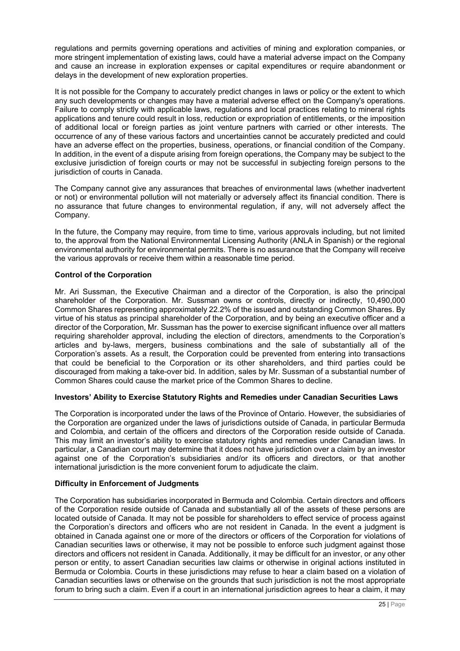regulations and permits governing operations and activities of mining and exploration companies, or more stringent implementation of existing laws, could have a material adverse impact on the Company and cause an increase in exploration expenses or capital expenditures or require abandonment or delays in the development of new exploration properties.

It is not possible for the Company to accurately predict changes in laws or policy or the extent to which any such developments or changes may have a material adverse effect on the Company's operations. Failure to comply strictly with applicable laws, regulations and local practices relating to mineral rights applications and tenure could result in loss, reduction or expropriation of entitlements, or the imposition of additional local or foreign parties as joint venture partners with carried or other interests. The occurrence of any of these various factors and uncertainties cannot be accurately predicted and could have an adverse effect on the properties, business, operations, or financial condition of the Company. In addition, in the event of a dispute arising from foreign operations, the Company may be subject to the exclusive jurisdiction of foreign courts or may not be successful in subjecting foreign persons to the jurisdiction of courts in Canada.

The Company cannot give any assurances that breaches of environmental laws (whether inadvertent or not) or environmental pollution will not materially or adversely affect its financial condition. There is no assurance that future changes to environmental regulation, if any, will not adversely affect the Company.

In the future, the Company may require, from time to time, various approvals including, but not limited to, the approval from the National Environmental Licensing Authority (ANLA in Spanish) or the regional environmental authority for environmental permits. There is no assurance that the Company will receive the various approvals or receive them within a reasonable time period.

# **Control of the Corporation**

Mr. Ari Sussman, the Executive Chairman and a director of the Corporation, is also the principal shareholder of the Corporation. Mr. Sussman owns or controls, directly or indirectly, 10,490,000 Common Shares representing approximately 22.2% of the issued and outstanding Common Shares. By virtue of his status as principal shareholder of the Corporation, and by being an executive officer and a director of the Corporation, Mr. Sussman has the power to exercise significant influence over all matters requiring shareholder approval, including the election of directors, amendments to the Corporation's articles and by-laws, mergers, business combinations and the sale of substantially all of the Corporation's assets. As a result, the Corporation could be prevented from entering into transactions that could be beneficial to the Corporation or its other shareholders, and third parties could be discouraged from making a take-over bid. In addition, sales by Mr. Sussman of a substantial number of Common Shares could cause the market price of the Common Shares to decline.

# **Investors' Ability to Exercise Statutory Rights and Remedies under Canadian Securities Laws**

The Corporation is incorporated under the laws of the Province of Ontario. However, the subsidiaries of the Corporation are organized under the laws of jurisdictions outside of Canada, in particular Bermuda and Colombia, and certain of the officers and directors of the Corporation reside outside of Canada. This may limit an investor's ability to exercise statutory rights and remedies under Canadian laws. In particular, a Canadian court may determine that it does not have jurisdiction over a claim by an investor against one of the Corporation's subsidiaries and/or its officers and directors, or that another international jurisdiction is the more convenient forum to adjudicate the claim.

# **Difficulty in Enforcement of Judgments**

The Corporation has subsidiaries incorporated in Bermuda and Colombia. Certain directors and officers of the Corporation reside outside of Canada and substantially all of the assets of these persons are located outside of Canada. It may not be possible for shareholders to effect service of process against the Corporation's directors and officers who are not resident in Canada. In the event a judgment is obtained in Canada against one or more of the directors or officers of the Corporation for violations of Canadian securities laws or otherwise, it may not be possible to enforce such judgment against those directors and officers not resident in Canada. Additionally, it may be difficult for an investor, or any other person or entity, to assert Canadian securities law claims or otherwise in original actions instituted in Bermuda or Colombia. Courts in these jurisdictions may refuse to hear a claim based on a violation of Canadian securities laws or otherwise on the grounds that such jurisdiction is not the most appropriate forum to bring such a claim. Even if a court in an international jurisdiction agrees to hear a claim, it may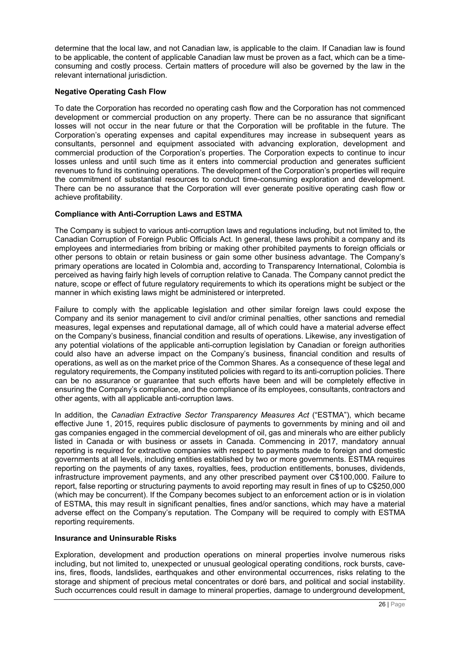determine that the local law, and not Canadian law, is applicable to the claim. If Canadian law is found to be applicable, the content of applicable Canadian law must be proven as a fact, which can be a timeconsuming and costly process. Certain matters of procedure will also be governed by the law in the relevant international jurisdiction.

# **Negative Operating Cash Flow**

To date the Corporation has recorded no operating cash flow and the Corporation has not commenced development or commercial production on any property. There can be no assurance that significant losses will not occur in the near future or that the Corporation will be profitable in the future. The Corporation's operating expenses and capital expenditures may increase in subsequent years as consultants, personnel and equipment associated with advancing exploration, development and commercial production of the Corporation's properties. The Corporation expects to continue to incur losses unless and until such time as it enters into commercial production and generates sufficient revenues to fund its continuing operations. The development of the Corporation's properties will require the commitment of substantial resources to conduct time-consuming exploration and development. There can be no assurance that the Corporation will ever generate positive operating cash flow or achieve profitability.

# **Compliance with Anti-Corruption Laws and ESTMA**

The Company is subject to various anti-corruption laws and regulations including, but not limited to, the Canadian Corruption of Foreign Public Officials Act. In general, these laws prohibit a company and its employees and intermediaries from bribing or making other prohibited payments to foreign officials or other persons to obtain or retain business or gain some other business advantage. The Company's primary operations are located in Colombia and, according to Transparency International, Colombia is perceived as having fairly high levels of corruption relative to Canada. The Company cannot predict the nature, scope or effect of future regulatory requirements to which its operations might be subject or the manner in which existing laws might be administered or interpreted.

Failure to comply with the applicable legislation and other similar foreign laws could expose the Company and its senior management to civil and/or criminal penalties, other sanctions and remedial measures, legal expenses and reputational damage, all of which could have a material adverse effect on the Company's business, financial condition and results of operations. Likewise, any investigation of any potential violations of the applicable anti-corruption legislation by Canadian or foreign authorities could also have an adverse impact on the Company's business, financial condition and results of operations, as well as on the market price of the Common Shares. As a consequence of these legal and regulatory requirements, the Company instituted policies with regard to its anti-corruption policies. There can be no assurance or guarantee that such efforts have been and will be completely effective in ensuring the Company's compliance, and the compliance of its employees, consultants, contractors and other agents, with all applicable anti-corruption laws.

In addition, the *Canadian Extractive Sector Transparency Measures Act* ("ESTMA"), which became effective June 1, 2015, requires public disclosure of payments to governments by mining and oil and gas companies engaged in the commercial development of oil, gas and minerals who are either publicly listed in Canada or with business or assets in Canada. Commencing in 2017, mandatory annual reporting is required for extractive companies with respect to payments made to foreign and domestic governments at all levels, including entities established by two or more governments. ESTMA requires reporting on the payments of any taxes, royalties, fees, production entitlements, bonuses, dividends, infrastructure improvement payments, and any other prescribed payment over C\$100,000. Failure to report, false reporting or structuring payments to avoid reporting may result in fines of up to C\$250,000 (which may be concurrent). If the Company becomes subject to an enforcement action or is in violation of ESTMA, this may result in significant penalties, fines and/or sanctions, which may have a material adverse effect on the Company's reputation. The Company will be required to comply with ESTMA reporting requirements.

# **Insurance and Uninsurable Risks**

Exploration, development and production operations on mineral properties involve numerous risks including, but not limited to, unexpected or unusual geological operating conditions, rock bursts, caveins, fires, floods, landslides, earthquakes and other environmental occurrences, risks relating to the storage and shipment of precious metal concentrates or doré bars, and political and social instability. Such occurrences could result in damage to mineral properties, damage to underground development,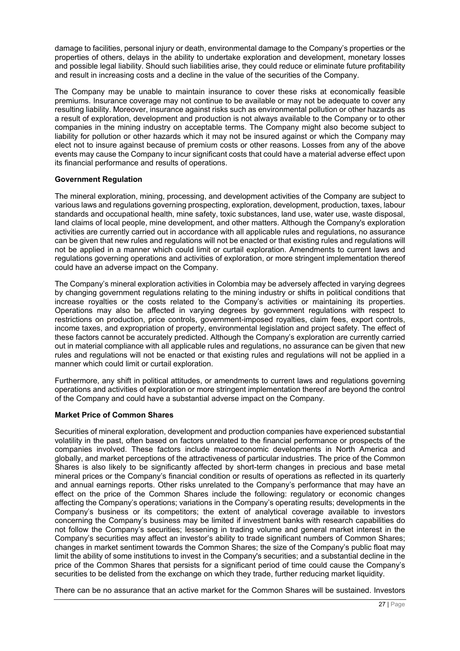damage to facilities, personal injury or death, environmental damage to the Company's properties or the properties of others, delays in the ability to undertake exploration and development, monetary losses and possible legal liability. Should such liabilities arise, they could reduce or eliminate future profitability and result in increasing costs and a decline in the value of the securities of the Company.

The Company may be unable to maintain insurance to cover these risks at economically feasible premiums. Insurance coverage may not continue to be available or may not be adequate to cover any resulting liability. Moreover, insurance against risks such as environmental pollution or other hazards as a result of exploration, development and production is not always available to the Company or to other companies in the mining industry on acceptable terms. The Company might also become subject to liability for pollution or other hazards which it may not be insured against or which the Company may elect not to insure against because of premium costs or other reasons. Losses from any of the above events may cause the Company to incur significant costs that could have a material adverse effect upon its financial performance and results of operations.

# **Government Regulation**

The mineral exploration, mining, processing, and development activities of the Company are subject to various laws and regulations governing prospecting, exploration, development, production, taxes, labour standards and occupational health, mine safety, toxic substances, land use, water use, waste disposal, land claims of local people, mine development, and other matters. Although the Company's exploration activities are currently carried out in accordance with all applicable rules and regulations, no assurance can be given that new rules and regulations will not be enacted or that existing rules and regulations will not be applied in a manner which could limit or curtail exploration. Amendments to current laws and regulations governing operations and activities of exploration, or more stringent implementation thereof could have an adverse impact on the Company.

The Company's mineral exploration activities in Colombia may be adversely affected in varying degrees by changing government regulations relating to the mining industry or shifts in political conditions that increase royalties or the costs related to the Company's activities or maintaining its properties. Operations may also be affected in varying degrees by government regulations with respect to restrictions on production, price controls, government-imposed royalties, claim fees, export controls, income taxes, and expropriation of property, environmental legislation and project safety. The effect of these factors cannot be accurately predicted. Although the Company's exploration are currently carried out in material compliance with all applicable rules and regulations, no assurance can be given that new rules and regulations will not be enacted or that existing rules and regulations will not be applied in a manner which could limit or curtail exploration.

Furthermore, any shift in political attitudes, or amendments to current laws and regulations governing operations and activities of exploration or more stringent implementation thereof are beyond the control of the Company and could have a substantial adverse impact on the Company.

# **Market Price of Common Shares**

Securities of mineral exploration, development and production companies have experienced substantial volatility in the past, often based on factors unrelated to the financial performance or prospects of the companies involved. These factors include macroeconomic developments in North America and globally, and market perceptions of the attractiveness of particular industries. The price of the Common Shares is also likely to be significantly affected by short-term changes in precious and base metal mineral prices or the Company's financial condition or results of operations as reflected in its quarterly and annual earnings reports. Other risks unrelated to the Company's performance that may have an effect on the price of the Common Shares include the following: regulatory or economic changes affecting the Company's operations; variations in the Company's operating results; developments in the Company's business or its competitors; the extent of analytical coverage available to investors concerning the Company's business may be limited if investment banks with research capabilities do not follow the Company's securities; lessening in trading volume and general market interest in the Company's securities may affect an investor's ability to trade significant numbers of Common Shares; changes in market sentiment towards the Common Shares; the size of the Company's public float may limit the ability of some institutions to invest in the Company's securities; and a substantial decline in the price of the Common Shares that persists for a significant period of time could cause the Company's securities to be delisted from the exchange on which they trade, further reducing market liquidity.

There can be no assurance that an active market for the Common Shares will be sustained. Investors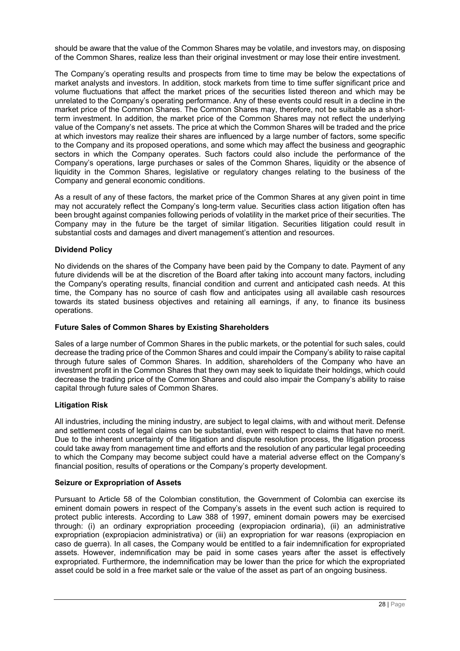should be aware that the value of the Common Shares may be volatile, and investors may, on disposing of the Common Shares, realize less than their original investment or may lose their entire investment.

The Company's operating results and prospects from time to time may be below the expectations of market analysts and investors. In addition, stock markets from time to time suffer significant price and volume fluctuations that affect the market prices of the securities listed thereon and which may be unrelated to the Company's operating performance. Any of these events could result in a decline in the market price of the Common Shares. The Common Shares may, therefore, not be suitable as a shortterm investment. In addition, the market price of the Common Shares may not reflect the underlying value of the Company's net assets. The price at which the Common Shares will be traded and the price at which investors may realize their shares are influenced by a large number of factors, some specific to the Company and its proposed operations, and some which may affect the business and geographic sectors in which the Company operates. Such factors could also include the performance of the Company's operations, large purchases or sales of the Common Shares, liquidity or the absence of liquidity in the Common Shares, legislative or regulatory changes relating to the business of the Company and general economic conditions.

As a result of any of these factors, the market price of the Common Shares at any given point in time may not accurately reflect the Company's long-term value. Securities class action litigation often has been brought against companies following periods of volatility in the market price of their securities. The Company may in the future be the target of similar litigation. Securities litigation could result in substantial costs and damages and divert management's attention and resources.

# **Dividend Policy**

No dividends on the shares of the Company have been paid by the Company to date. Payment of any future dividends will be at the discretion of the Board after taking into account many factors, including the Company's operating results, financial condition and current and anticipated cash needs. At this time, the Company has no source of cash flow and anticipates using all available cash resources towards its stated business objectives and retaining all earnings, if any, to finance its business operations.

# **Future Sales of Common Shares by Existing Shareholders**

Sales of a large number of Common Shares in the public markets, or the potential for such sales, could decrease the trading price of the Common Shares and could impair the Company's ability to raise capital through future sales of Common Shares. In addition, shareholders of the Company who have an investment profit in the Common Shares that they own may seek to liquidate their holdings, which could decrease the trading price of the Common Shares and could also impair the Company's ability to raise capital through future sales of Common Shares.

# **Litigation Risk**

All industries, including the mining industry, are subject to legal claims, with and without merit. Defense and settlement costs of legal claims can be substantial, even with respect to claims that have no merit. Due to the inherent uncertainty of the litigation and dispute resolution process, the litigation process could take away from management time and efforts and the resolution of any particular legal proceeding to which the Company may become subject could have a material adverse effect on the Company's financial position, results of operations or the Company's property development.

# **Seizure or Expropriation of Assets**

Pursuant to Article 58 of the Colombian constitution, the Government of Colombia can exercise its eminent domain powers in respect of the Company's assets in the event such action is required to protect public interests. According to Law 388 of 1997, eminent domain powers may be exercised through: (i) an ordinary expropriation proceeding (expropiacion ordinaria), (ii) an administrative expropriation (expropiacion administrativa) or (iii) an expropriation for war reasons (expropiacion en caso de guerra). In all cases, the Company would be entitled to a fair indemnification for expropriated assets. However, indemnification may be paid in some cases years after the asset is effectively expropriated. Furthermore, the indemnification may be lower than the price for which the expropriated asset could be sold in a free market sale or the value of the asset as part of an ongoing business.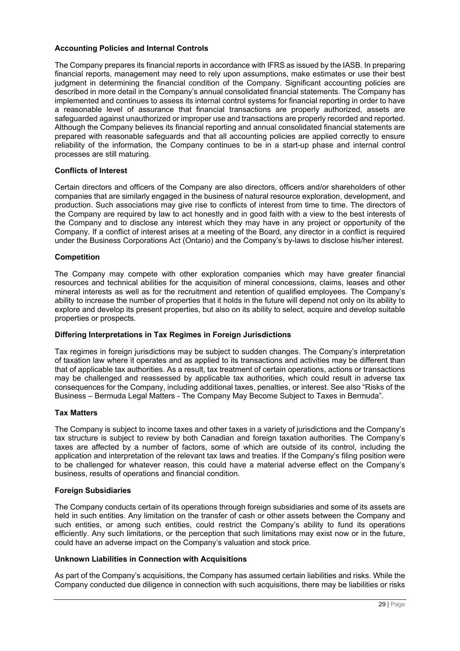### **Accounting Policies and Internal Controls**

The Company prepares its financial reports in accordance with IFRS as issued by the IASB. In preparing financial reports, management may need to rely upon assumptions, make estimates or use their best judgment in determining the financial condition of the Company. Significant accounting policies are described in more detail in the Company's annual consolidated financial statements. The Company has implemented and continues to assess its internal control systems for financial reporting in order to have a reasonable level of assurance that financial transactions are properly authorized, assets are safeguarded against unauthorized or improper use and transactions are properly recorded and reported. Although the Company believes its financial reporting and annual consolidated financial statements are prepared with reasonable safeguards and that all accounting policies are applied correctly to ensure reliability of the information, the Company continues to be in a start-up phase and internal control processes are still maturing.

### **Conflicts of Interest**

Certain directors and officers of the Company are also directors, officers and/or shareholders of other companies that are similarly engaged in the business of natural resource exploration, development, and production. Such associations may give rise to conflicts of interest from time to time. The directors of the Company are required by law to act honestly and in good faith with a view to the best interests of the Company and to disclose any interest which they may have in any project or opportunity of the Company. If a conflict of interest arises at a meeting of the Board, any director in a conflict is required under the Business Corporations Act (Ontario) and the Company's by-laws to disclose his/her interest.

### **Competition**

The Company may compete with other exploration companies which may have greater financial resources and technical abilities for the acquisition of mineral concessions, claims, leases and other mineral interests as well as for the recruitment and retention of qualified employees. The Company's ability to increase the number of properties that it holds in the future will depend not only on its ability to explore and develop its present properties, but also on its ability to select, acquire and develop suitable properties or prospects.

### **Differing Interpretations in Tax Regimes in Foreign Jurisdictions**

Tax regimes in foreign jurisdictions may be subject to sudden changes. The Company's interpretation of taxation law where it operates and as applied to its transactions and activities may be different than that of applicable tax authorities. As a result, tax treatment of certain operations, actions or transactions may be challenged and reassessed by applicable tax authorities, which could result in adverse tax consequences for the Company, including additional taxes, penalties, or interest. See also "Risks of the Business – Bermuda Legal Matters - The Company May Become Subject to Taxes in Bermuda".

# **Tax Matters**

The Company is subject to income taxes and other taxes in a variety of jurisdictions and the Company's tax structure is subject to review by both Canadian and foreign taxation authorities. The Company's taxes are affected by a number of factors, some of which are outside of its control, including the application and interpretation of the relevant tax laws and treaties. If the Company's filing position were to be challenged for whatever reason, this could have a material adverse effect on the Company's business, results of operations and financial condition.

### **Foreign Subsidiaries**

The Company conducts certain of its operations through foreign subsidiaries and some of its assets are held in such entities. Any limitation on the transfer of cash or other assets between the Company and such entities, or among such entities, could restrict the Company's ability to fund its operations efficiently. Any such limitations, or the perception that such limitations may exist now or in the future, could have an adverse impact on the Company's valuation and stock price.

### **Unknown Liabilities in Connection with Acquisitions**

As part of the Company's acquisitions, the Company has assumed certain liabilities and risks. While the Company conducted due diligence in connection with such acquisitions, there may be liabilities or risks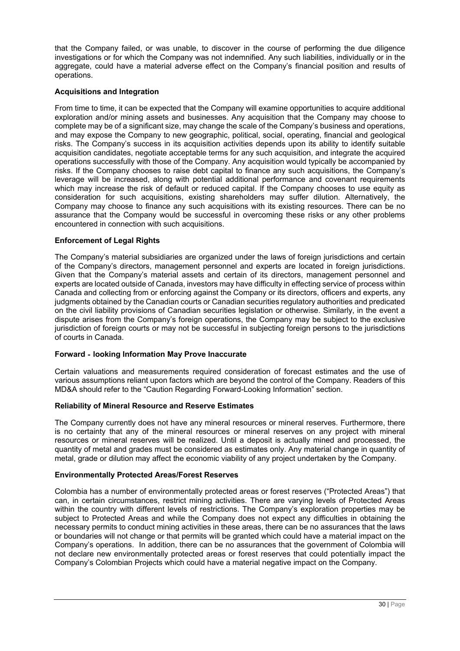that the Company failed, or was unable, to discover in the course of performing the due diligence investigations or for which the Company was not indemnified. Any such liabilities, individually or in the aggregate, could have a material adverse effect on the Company's financial position and results of operations.

# **Acquisitions and Integration**

From time to time, it can be expected that the Company will examine opportunities to acquire additional exploration and/or mining assets and businesses. Any acquisition that the Company may choose to complete may be of a significant size, may change the scale of the Company's business and operations, and may expose the Company to new geographic, political, social, operating, financial and geological risks. The Company's success in its acquisition activities depends upon its ability to identify suitable acquisition candidates, negotiate acceptable terms for any such acquisition, and integrate the acquired operations successfully with those of the Company. Any acquisition would typically be accompanied by risks. If the Company chooses to raise debt capital to finance any such acquisitions, the Company's leverage will be increased, along with potential additional performance and covenant requirements which may increase the risk of default or reduced capital. If the Company chooses to use equity as consideration for such acquisitions, existing shareholders may suffer dilution. Alternatively, the Company may choose to finance any such acquisitions with its existing resources. There can be no assurance that the Company would be successful in overcoming these risks or any other problems encountered in connection with such acquisitions.

# **Enforcement of Legal Rights**

The Company's material subsidiaries are organized under the laws of foreign jurisdictions and certain of the Company's directors, management personnel and experts are located in foreign jurisdictions. Given that the Company's material assets and certain of its directors, management personnel and experts are located outside of Canada, investors may have difficulty in effecting service of process within Canada and collecting from or enforcing against the Company or its directors, officers and experts, any judgments obtained by the Canadian courts or Canadian securities regulatory authorities and predicated on the civil liability provisions of Canadian securities legislation or otherwise. Similarly, in the event a dispute arises from the Company's foreign operations, the Company may be subject to the exclusive jurisdiction of foreign courts or may not be successful in subjecting foreign persons to the jurisdictions of courts in Canada.

# **Forward**‐**looking Information May Prove Inaccurate**

Certain valuations and measurements required consideration of forecast estimates and the use of various assumptions reliant upon factors which are beyond the control of the Company. Readers of this MD&A should refer to the "Caution Regarding Forward-Looking Information" section.

# **Reliability of Mineral Resource and Reserve Estimates**

The Company currently does not have any mineral resources or mineral reserves. Furthermore, there is no certainty that any of the mineral resources or mineral reserves on any project with mineral resources or mineral reserves will be realized. Until a deposit is actually mined and processed, the quantity of metal and grades must be considered as estimates only. Any material change in quantity of metal, grade or dilution may affect the economic viability of any project undertaken by the Company.

# **Environmentally Protected Areas/Forest Reserves**

Colombia has a number of environmentally protected areas or forest reserves ("Protected Areas") that can, in certain circumstances, restrict mining activities. There are varying levels of Protected Areas within the country with different levels of restrictions. The Company's exploration properties may be subject to Protected Areas and while the Company does not expect any difficulties in obtaining the necessary permits to conduct mining activities in these areas, there can be no assurances that the laws or boundaries will not change or that permits will be granted which could have a material impact on the Company's operations. In addition, there can be no assurances that the government of Colombia will not declare new environmentally protected areas or forest reserves that could potentially impact the Company's Colombian Projects which could have a material negative impact on the Company.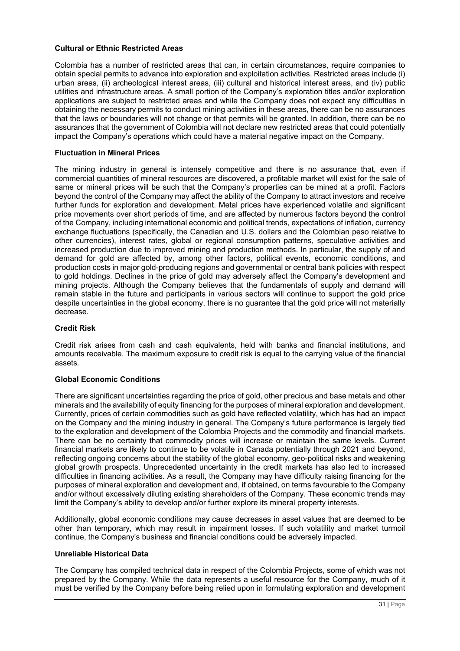# **Cultural or Ethnic Restricted Areas**

Colombia has a number of restricted areas that can, in certain circumstances, require companies to obtain special permits to advance into exploration and exploitation activities. Restricted areas include (i) urban areas, (ii) archeological interest areas, (iii) cultural and historical interest areas, and (iv) public utilities and infrastructure areas. A small portion of the Company's exploration titles and/or exploration applications are subject to restricted areas and while the Company does not expect any difficulties in obtaining the necessary permits to conduct mining activities in these areas, there can be no assurances that the laws or boundaries will not change or that permits will be granted. In addition, there can be no assurances that the government of Colombia will not declare new restricted areas that could potentially impact the Company's operations which could have a material negative impact on the Company.

### **Fluctuation in Mineral Prices**

The mining industry in general is intensely competitive and there is no assurance that, even if commercial quantities of mineral resources are discovered, a profitable market will exist for the sale of same or mineral prices will be such that the Company's properties can be mined at a profit. Factors beyond the control of the Company may affect the ability of the Company to attract investors and receive further funds for exploration and development. Metal prices have experienced volatile and significant price movements over short periods of time, and are affected by numerous factors beyond the control of the Company, including international economic and political trends, expectations of inflation, currency exchange fluctuations (specifically, the Canadian and U.S. dollars and the Colombian peso relative to other currencies), interest rates, global or regional consumption patterns, speculative activities and increased production due to improved mining and production methods. In particular, the supply of and demand for gold are affected by, among other factors, political events, economic conditions, and production costs in major gold-producing regions and governmental or central bank policies with respect to gold holdings. Declines in the price of gold may adversely affect the Company's development and mining projects. Although the Company believes that the fundamentals of supply and demand will remain stable in the future and participants in various sectors will continue to support the gold price despite uncertainties in the global economy, there is no guarantee that the gold price will not materially decrease.

# **Credit Risk**

Credit risk arises from cash and cash equivalents, held with banks and financial institutions, and amounts receivable. The maximum exposure to credit risk is equal to the carrying value of the financial assets.

### **Global Economic Conditions**

There are significant uncertainties regarding the price of gold, other precious and base metals and other minerals and the availability of equity financing for the purposes of mineral exploration and development. Currently, prices of certain commodities such as gold have reflected volatility, which has had an impact on the Company and the mining industry in general. The Company's future performance is largely tied to the exploration and development of the Colombia Projects and the commodity and financial markets. There can be no certainty that commodity prices will increase or maintain the same levels. Current financial markets are likely to continue to be volatile in Canada potentially through 2021 and beyond, reflecting ongoing concerns about the stability of the global economy, geo-political risks and weakening global growth prospects. Unprecedented uncertainty in the credit markets has also led to increased difficulties in financing activities. As a result, the Company may have difficulty raising financing for the purposes of mineral exploration and development and, if obtained, on terms favourable to the Company and/or without excessively diluting existing shareholders of the Company. These economic trends may limit the Company's ability to develop and/or further explore its mineral property interests.

Additionally, global economic conditions may cause decreases in asset values that are deemed to be other than temporary, which may result in impairment losses. If such volatility and market turmoil continue, the Company's business and financial conditions could be adversely impacted.

# **Unreliable Historical Data**

The Company has compiled technical data in respect of the Colombia Projects, some of which was not prepared by the Company. While the data represents a useful resource for the Company, much of it must be verified by the Company before being relied upon in formulating exploration and development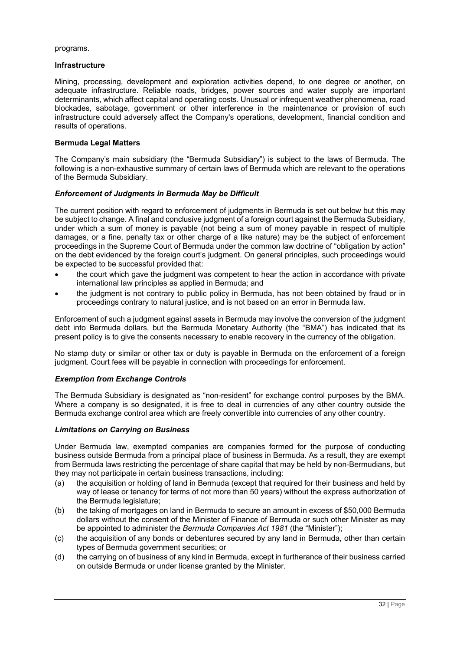programs.

### **Infrastructure**

Mining, processing, development and exploration activities depend, to one degree or another, on adequate infrastructure. Reliable roads, bridges, power sources and water supply are important determinants, which affect capital and operating costs. Unusual or infrequent weather phenomena, road blockades, sabotage, government or other interference in the maintenance or provision of such infrastructure could adversely affect the Company's operations, development, financial condition and results of operations.

# **Bermuda Legal Matters**

The Company's main subsidiary (the "Bermuda Subsidiary") is subject to the laws of Bermuda. The following is a non-exhaustive summary of certain laws of Bermuda which are relevant to the operations of the Bermuda Subsidiary.

# *Enforcement of Judgments in Bermuda May be Difficult*

The current position with regard to enforcement of judgments in Bermuda is set out below but this may be subject to change. A final and conclusive judgment of a foreign court against the Bermuda Subsidiary, under which a sum of money is payable (not being a sum of money payable in respect of multiple damages, or a fine, penalty tax or other charge of a like nature) may be the subject of enforcement proceedings in the Supreme Court of Bermuda under the common law doctrine of "obligation by action" on the debt evidenced by the foreign court's judgment. On general principles, such proceedings would be expected to be successful provided that:

- the court which gave the judgment was competent to hear the action in accordance with private international law principles as applied in Bermuda; and
- the judgment is not contrary to public policy in Bermuda, has not been obtained by fraud or in proceedings contrary to natural justice, and is not based on an error in Bermuda law.

Enforcement of such a judgment against assets in Bermuda may involve the conversion of the judgment debt into Bermuda dollars, but the Bermuda Monetary Authority (the "BMA") has indicated that its present policy is to give the consents necessary to enable recovery in the currency of the obligation.

No stamp duty or similar or other tax or duty is payable in Bermuda on the enforcement of a foreign judgment. Court fees will be payable in connection with proceedings for enforcement.

# *Exemption from Exchange Controls*

The Bermuda Subsidiary is designated as "non-resident" for exchange control purposes by the BMA. Where a company is so designated, it is free to deal in currencies of any other country outside the Bermuda exchange control area which are freely convertible into currencies of any other country.

# *Limitations on Carrying on Business*

Under Bermuda law, exempted companies are companies formed for the purpose of conducting business outside Bermuda from a principal place of business in Bermuda. As a result, they are exempt from Bermuda laws restricting the percentage of share capital that may be held by non-Bermudians, but they may not participate in certain business transactions, including:

- (a) the acquisition or holding of land in Bermuda (except that required for their business and held by way of lease or tenancy for terms of not more than 50 years) without the express authorization of the Bermuda legislature;
- (b) the taking of mortgages on land in Bermuda to secure an amount in excess of \$50,000 Bermuda dollars without the consent of the Minister of Finance of Bermuda or such other Minister as may be appointed to administer the *Bermuda Companies Act 1981* (the "Minister");
- (c) the acquisition of any bonds or debentures secured by any land in Bermuda, other than certain types of Bermuda government securities; or
- (d) the carrying on of business of any kind in Bermuda, except in furtherance of their business carried on outside Bermuda or under license granted by the Minister.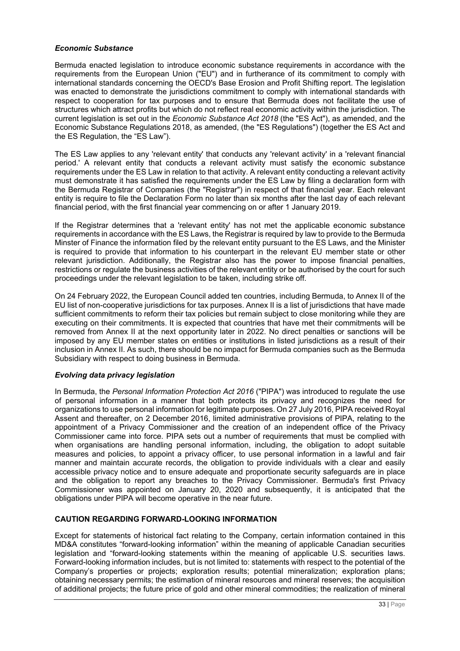# *Economic Substance*

Bermuda enacted legislation to introduce economic substance requirements in accordance with the requirements from the European Union ("EU") and in furtherance of its commitment to comply with international standards concerning the OECD's Base Erosion and Profit Shifting report. The legislation was enacted to demonstrate the jurisdictions commitment to comply with international standards with respect to cooperation for tax purposes and to ensure that Bermuda does not facilitate the use of structures which attract profits but which do not reflect real economic activity within the jurisdiction. The current legislation is set out in the *Economic Substance Act 2018* (the "ES Act"), as amended, and the Economic Substance Regulations 2018, as amended, (the "ES Regulations") (together the ES Act and the ES Regulation, the "ES Law").

The ES Law applies to any 'relevant entity' that conducts any 'relevant activity' in a 'relevant financial period.' A relevant entity that conducts a relevant activity must satisfy the economic substance requirements under the ES Law in relation to that activity. A relevant entity conducting a relevant activity must demonstrate it has satisfied the requirements under the ES Law by filing a declaration form with the Bermuda Registrar of Companies (the "Registrar") in respect of that financial year. Each relevant entity is require to file the Declaration Form no later than six months after the last day of each relevant financial period, with the first financial year commencing on or after 1 January 2019.

If the Registrar determines that a 'relevant entity' has not met the applicable economic substance requirements in accordance with the ES Laws, the Registrar is required by law to provide to the Bermuda Minster of Finance the information filed by the relevant entity pursuant to the ES Laws, and the Minister is required to provide that information to his counterpart in the relevant EU member state or other relevant jurisdiction. Additionally, the Registrar also has the power to impose financial penalties, restrictions or regulate the business activities of the relevant entity or be authorised by the court for such proceedings under the relevant legislation to be taken, including strike off.

On 24 February 2022, the European Council added ten countries, including Bermuda, to Annex II of the EU list of non-cooperative jurisdictions for tax purposes. Annex II is a list of jurisdictions that have made sufficient commitments to reform their tax policies but remain subject to close monitoring while they are executing on their commitments. It is expected that countries that have met their commitments will be removed from Annex II at the next opportunity later in 2022. No direct penalties or sanctions will be imposed by any EU member states on entities or institutions in listed jurisdictions as a result of their inclusion in Annex II. As such, there should be no impact for Bermuda companies such as the Bermuda Subsidiary with respect to doing business in Bermuda.

# *Evolving data privacy legislation*

In Bermuda, the *Personal Information Protection Act 2016* ("PIPA") was introduced to regulate the use of personal information in a manner that both protects its privacy and recognizes the need for organizations to use personal information for legitimate purposes. On 27 July 2016, PIPA received Royal Assent and thereafter, on 2 December 2016, limited administrative provisions of PIPA, relating to the appointment of a Privacy Commissioner and the creation of an independent office of the Privacy Commissioner came into force. PIPA sets out a number of requirements that must be complied with when organisations are handling personal information, including, the obligation to adopt suitable measures and policies, to appoint a privacy officer, to use personal information in a lawful and fair manner and maintain accurate records, the obligation to provide individuals with a clear and easily accessible privacy notice and to ensure adequate and proportionate security safeguards are in place and the obligation to report any breaches to the Privacy Commissioner. Bermuda's first Privacy Commissioner was appointed on January 20, 2020 and subsequently, it is anticipated that the obligations under PIPA will become operative in the near future.

### <span id="page-32-0"></span>**CAUTION REGARDING FORWARD-LOOKING INFORMATION**

Except for statements of historical fact relating to the Company, certain information contained in this MD&A constitutes "forward-looking information" within the meaning of applicable Canadian securities legislation and "forward-looking statements within the meaning of applicable U.S. securities laws. Forward-looking information includes, but is not limited to: statements with respect to the potential of the Company's properties or projects; exploration results; potential mineralization; exploration plans; obtaining necessary permits; the estimation of mineral resources and mineral reserves; the acquisition of additional projects; the future price of gold and other mineral commodities; the realization of mineral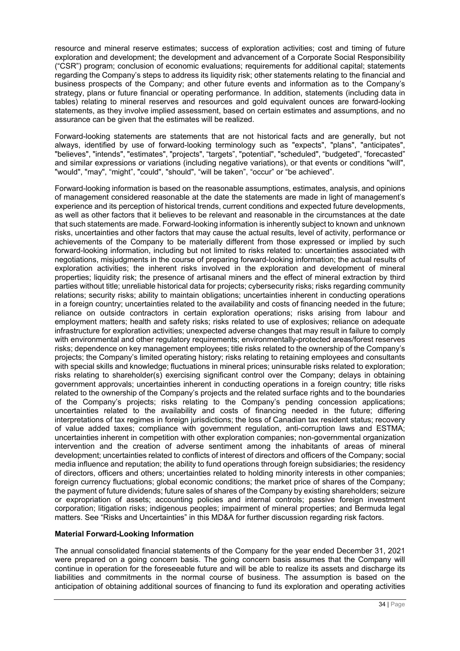resource and mineral reserve estimates; success of exploration activities; cost and timing of future exploration and development; the development and advancement of a Corporate Social Responsibility ("CSR") program; conclusion of economic evaluations; requirements for additional capital; statements regarding the Company's steps to address its liquidity risk; other statements relating to the financial and business prospects of the Company; and other future events and information as to the Company's strategy, plans or future financial or operating performance. In addition, statements (including data in tables) relating to mineral reserves and resources and gold equivalent ounces are forward-looking statements, as they involve implied assessment, based on certain estimates and assumptions, and no assurance can be given that the estimates will be realized.

Forward-looking statements are statements that are not historical facts and are generally, but not always, identified by use of forward-looking terminology such as "expects", "plans", "anticipates", "believes", "intends", "estimates", "projects", "targets", "potential", "scheduled", "budgeted", "forecasted" and similar expressions or variations (including negative variations), or that events or conditions "will", "would", "may", "might", "could", "should", "will be taken", "occur" or "be achieved".

Forward-looking information is based on the reasonable assumptions, estimates, analysis, and opinions of management considered reasonable at the date the statements are made in light of management's experience and its perception of historical trends, current conditions and expected future developments, as well as other factors that it believes to be relevant and reasonable in the circumstances at the date that such statements are made. Forward-looking information is inherently subject to known and unknown risks, uncertainties and other factors that may cause the actual results, level of activity, performance or achievements of the Company to be materially different from those expressed or implied by such forward-looking information, including but not limited to risks related to: uncertainties associated with negotiations, misjudgments in the course of preparing forward-looking information; the actual results of exploration activities; the inherent risks involved in the exploration and development of mineral properties; liquidity risk; the presence of artisanal miners and the effect of mineral extraction by third parties without title; unreliable historical data for projects; cybersecurity risks; risks regarding community relations; security risks; ability to maintain obligations; uncertainties inherent in conducting operations in a foreign country; uncertainties related to the availability and costs of financing needed in the future; reliance on outside contractors in certain exploration operations; risks arising from labour and employment matters; health and safety risks; risks related to use of explosives; reliance on adequate infrastructure for exploration activities; unexpected adverse changes that may result in failure to comply with environmental and other regulatory requirements; environmentally-protected areas/forest reserves risks; dependence on key management employees; title risks related to the ownership of the Company's projects; the Company's limited operating history; risks relating to retaining employees and consultants with special skills and knowledge; fluctuations in mineral prices; uninsurable risks related to exploration; risks relating to shareholder(s) exercising significant control over the Company; delays in obtaining government approvals; uncertainties inherent in conducting operations in a foreign country; title risks related to the ownership of the Company's projects and the related surface rights and to the boundaries of the Company's projects; risks relating to the Company's pending concession applications; uncertainties related to the availability and costs of financing needed in the future; differing interpretations of tax regimes in foreign jurisdictions; the loss of Canadian tax resident status; recovery of value added taxes; compliance with government regulation, anti-corruption laws and ESTMA; uncertainties inherent in competition with other exploration companies; non-governmental organization intervention and the creation of adverse sentiment among the inhabitants of areas of mineral development; uncertainties related to conflicts of interest of directors and officers of the Company; social media influence and reputation; the ability to fund operations through foreign subsidiaries; the residency of directors, officers and others; uncertainties related to holding minority interests in other companies; foreign currency fluctuations; global economic conditions; the market price of shares of the Company; the payment of future dividends; future sales of shares of the Company by existing shareholders; seizure or expropriation of assets; accounting policies and internal controls; passive foreign investment corporation; litigation risks; indigenous peoples; impairment of mineral properties; and Bermuda legal matters. See "Risks and Uncertainties" in this MD&A for further discussion regarding risk factors.

# **Material Forward-Looking Information**

The annual consolidated financial statements of the Company for the year ended December 31, 2021 were prepared on a going concern basis. The going concern basis assumes that the Company will continue in operation for the foreseeable future and will be able to realize its assets and discharge its liabilities and commitments in the normal course of business. The assumption is based on the anticipation of obtaining additional sources of financing to fund its exploration and operating activities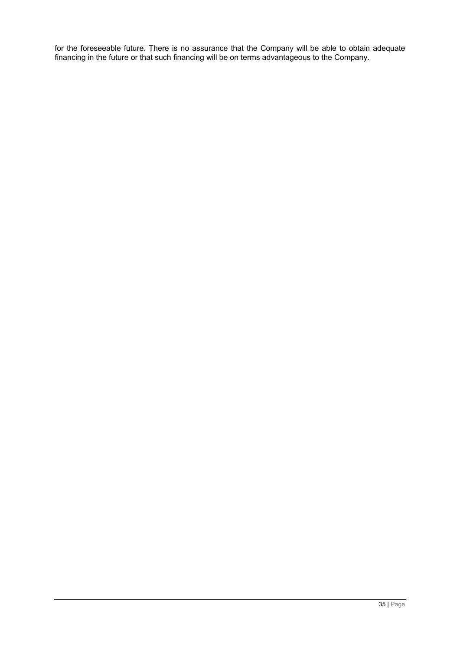for the foreseeable future. There is no assurance that the Company will be able to obtain adequate financing in the future or that such financing will be on terms advantageous to the Company.